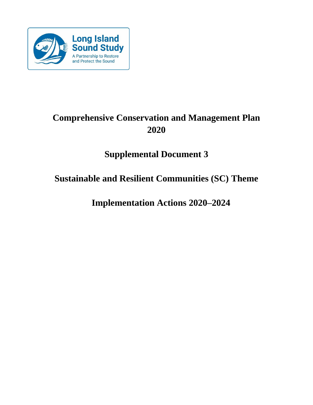

# **Comprehensive Conservation and Management Plan 2020**

# **Supplemental Document 3**

# **Sustainable and Resilient Communities (SC) Theme**

**Implementation Actions 2020–2024**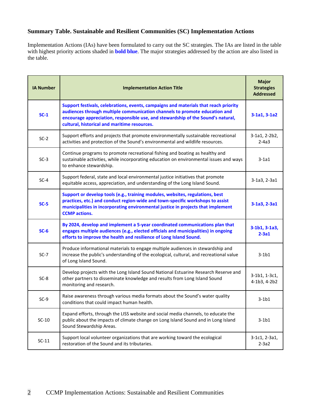# **Summary Table. Sustainable and Resilient Communities (SC) Implementation Actions**

Implementation Actions (IAs) have been formulated to carry out the SC strategies. The IAs are listed in the table with highest priority actions shaded in **bold blue**. The major strategies addressed by the action are also listed in the table.

| <b>IA Number</b> | <b>Implementation Action Title</b>                                                                                                                                                                                                                                                                     | <b>Major</b><br><b>Strategies</b><br><b>Addressed</b> |
|------------------|--------------------------------------------------------------------------------------------------------------------------------------------------------------------------------------------------------------------------------------------------------------------------------------------------------|-------------------------------------------------------|
| $SC-1$           | Support festivals, celebrations, events, campaigns and materials that reach priority<br>audiences through multiple communication channels to promote education and<br>encourage appreciation, responsible use, and stewardship of the Sound's natural,<br>cultural, historical and maritime resources. | $3-1a1, 3-1a2$                                        |
| $SC-2$           | Support efforts and projects that promote environmentally sustainable recreational<br>activities and protection of the Sound's environmental and wildlife resources.                                                                                                                                   | 3-1a1, 2-2b2,<br>$2-4a3$                              |
| $SC-3$           | Continue programs to promote recreational fishing and boating as healthy and<br>sustainable activities, while incorporating education on environmental issues and ways<br>to enhance stewardship.                                                                                                      | $3-1a1$                                               |
| $SC-4$           | Support federal, state and local environmental justice initiatives that promote<br>equitable access, appreciation, and understanding of the Long Island Sound.                                                                                                                                         | 3-1a3, 2-3a1                                          |
| $SC-5$           | Support or develop tools (e.g., training modules, websites, regulations, best<br>practices, etc.) and conduct region-wide and town-specific workshops to assist<br>municipalities in incorporating environmental justice in projects that implement<br><b>CCMP</b> actions.                            | $3-1a3, 2-3a1$                                        |
| $SC-6$           | By 2024, develop and implement a 5-year coordinated communications plan that<br>engages multiple audiences (e.g., elected officials and municipalities) in ongoing<br>efforts to improve the health and resilience of Long Island Sound.                                                               | $3-1b1, 3-1a3,$<br>$2-3a1$                            |
| $SC-7$           | Produce informational materials to engage multiple audiences in stewardship and<br>increase the public's understanding of the ecological, cultural, and recreational value<br>of Long Island Sound.                                                                                                    | $3-1b1$                                               |
| $SC-8$           | Develop projects with the Long Island Sound National Estuarine Research Reserve and<br>other partners to disseminate knowledge and results from Long Island Sound<br>monitoring and research.                                                                                                          | 3-1b1, 1-3c1,<br>4-1b3, 4-2b2                         |
| $SC-9$           | Raise awareness through various media formats about the Sound's water quality<br>conditions that could impact human health.                                                                                                                                                                            | $3-1b1$                                               |
| $SC-10$          | Expand efforts, through the LISS website and social media channels, to educate the<br>public about the impacts of climate change on Long Island Sound and in Long Island<br>Sound Stewardship Areas.                                                                                                   | $3-1b1$                                               |
| $SC-11$          | Support local volunteer organizations that are working toward the ecological<br>restoration of the Sound and its tributaries.                                                                                                                                                                          | 3-1c1, 2-3a1,<br>$2-3a2$                              |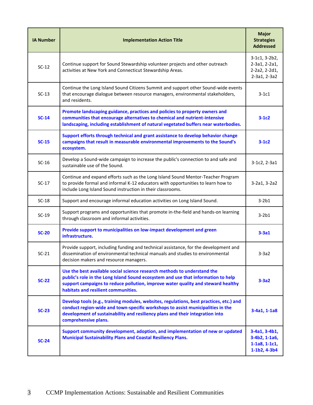| <b>IA Number</b> | <b>Implementation Action Title</b>                                                                                                                                                                                                                                                       | <b>Major</b><br><b>Strategies</b><br><b>Addressed</b>               |
|------------------|------------------------------------------------------------------------------------------------------------------------------------------------------------------------------------------------------------------------------------------------------------------------------------------|---------------------------------------------------------------------|
| $SC-12$          | Continue support for Sound Stewardship volunteer projects and other outreach<br>activities at New York and Connecticut Stewardship Areas.                                                                                                                                                | 3-1c1, 3-2b2,<br>2-3a1, 2-2a1,<br>2-2a2, 2-2d1,<br>2-3a1, 2-3a2     |
| $SC-13$          | Continue the Long Island Sound Citizens Summit and support other Sound-wide events<br>that encourage dialogue between resource managers, environmental stakeholders,<br>and residents.                                                                                                   | $3-1c1$                                                             |
| $SC-14$          | Promote landscaping guidance, practices and policies to property owners and<br>communities that encourage alternatives to chemical and nutrient-intensive<br>landscaping, including establishment of natural vegetated buffers near waterbodies.                                         | $3-1c2$                                                             |
| $SC-15$          | Support efforts through technical and grant assistance to develop behavior change<br>campaigns that result in measurable environmental improvements to the Sound's<br>ecosystem.                                                                                                         | $3-1c2$                                                             |
| $SC-16$          | Develop a Sound-wide campaign to increase the public's connection to and safe and<br>sustainable use of the Sound.                                                                                                                                                                       | $3-1c2, 2-3a1$                                                      |
| $SC-17$          | Continue and expand efforts such as the Long Island Sound Mentor-Teacher Program<br>to provide formal and informal K-12 educators with opportunities to learn how to<br>include Long Island Sound instruction in their classrooms.                                                       | 3-2a1, 3-2a2                                                        |
| $SC-18$          | Support and encourage informal education activities on Long Island Sound.                                                                                                                                                                                                                | $3-2b1$                                                             |
| $SC-19$          | Support programs and opportunities that promote in-the-field and hands-on learning<br>through classroom and informal activities.                                                                                                                                                         | $3-2b1$                                                             |
| $SC-20$          | Provide support to municipalities on low-impact development and green<br>infrastructure.                                                                                                                                                                                                 | $3-3a1$                                                             |
| $SC-21$          | Provide support, including funding and technical assistance, for the development and<br>dissemination of environmental technical manuals and studies to environmental<br>decision makers and resource managers.                                                                          | $3-3a2$                                                             |
| $SC-22$          | Use the best available social science research methods to understand the<br>public's role in the Long Island Sound ecosystem and use that information to help<br>support campaigns to reduce pollution, improve water quality and steward healthy<br>habitats and resilient communities. | $3-3a2$                                                             |
| $SC-23$          | Develop tools (e.g., training modules, websites, regulations, best practices, etc.) and<br>conduct region-wide and town-specific workshops to assist municipalities in the<br>development of sustainability and resiliency plans and their integration into<br>comprehensive plans.      | $3-4a1, 1-1a8$                                                      |
| $SC-24$          | Support community development, adoption, and implementation of new or updated<br><b>Municipal Sustainability Plans and Coastal Resiliency Plans.</b>                                                                                                                                     | 3-4a1, 3-4b1,<br>3-4b2, 1-1a6,<br>$1-1a8, 1-1c1,$<br>$1-1b2, 4-3b4$ |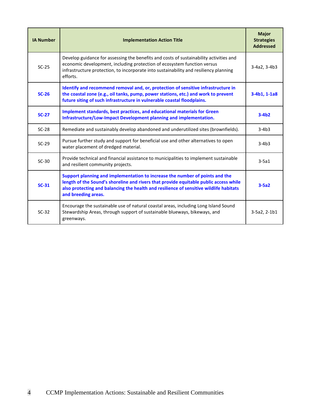| <b>IA Number</b> | <b>Implementation Action Title</b>                                                                                                                                                                                                                                                     | <b>Major</b><br><b>Strategies</b><br><b>Addressed</b> |
|------------------|----------------------------------------------------------------------------------------------------------------------------------------------------------------------------------------------------------------------------------------------------------------------------------------|-------------------------------------------------------|
| $SC-25$          | Develop guidance for assessing the benefits and costs of sustainability activities and<br>economic development, including protection of ecosystem function versus<br>infrastructure protection, to incorporate into sustainability and resiliency planning<br>efforts.                 | 3-4a2, 3-4b3                                          |
| $SC-26$          | Identify and recommend removal and, or, protection of sensitive infrastructure in<br>the coastal zone (e.g., oil tanks, pump, power stations, etc.) and work to prevent<br>future siting of such infrastructure in vulnerable coastal floodplains.                                     | $3-4b1, 1-1a8$                                        |
| $SC-27$          | Implement standards, best practices, and educational materials for Green<br>Infrastructure/Low-Impact Development planning and implementation.                                                                                                                                         | $3-4b2$                                               |
| $SC-28$          | Remediate and sustainably develop abandoned and underutilized sites (brownfields).                                                                                                                                                                                                     | $3-4b3$                                               |
| $SC-29$          | Pursue further study and support for beneficial use and other alternatives to open<br>water placement of dredged material.                                                                                                                                                             | $3-4b3$                                               |
| $SC-30$          | Provide technical and financial assistance to municipalities to implement sustainable<br>and resilient community projects.                                                                                                                                                             | $3-5a1$                                               |
| $SC-31$          | Support planning and implementation to increase the number of points and the<br>length of the Sound's shoreline and rivers that provide equitable public access while<br>also protecting and balancing the health and resilience of sensitive wildlife habitats<br>and breeding areas. | $3-5a2$                                               |
| $SC-32$          | Encourage the sustainable use of natural coastal areas, including Long Island Sound<br>Stewardship Areas, through support of sustainable blueways, bikeways, and<br>greenways.                                                                                                         | 3-5a2, 2-1b1                                          |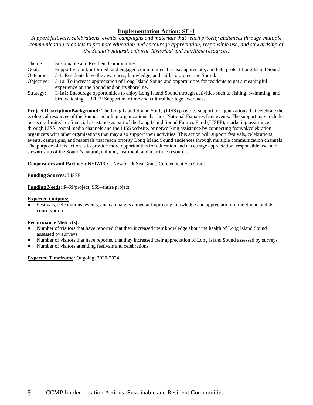*Support festivals, celebrations, events, campaigns and materials that reach priority audiences through multiple communication channels to promote education and encourage appreciation, responsible use, and stewardship of the Sound's natural, cultural, historical and maritime resources.*

| Theme:     | Sustainable and Resilient Communities                                                                                                                    |
|------------|----------------------------------------------------------------------------------------------------------------------------------------------------------|
| Goal:      | Support vibrant, informed, and engaged communities that use, appreciate, and help protect Long Island Sound.                                             |
| Outcome:   | 3-1: Residents have the awareness, knowledge, and skills to protect the Sound.                                                                           |
| Objective: | 3-1a: To increase appreciation of Long Island Sound and opportunities for residents to get a meaningful<br>experience on the Sound and on its shoreline. |
| Strategy:  | 3-1a1: Encourage opportunities to enjoy Long Island Sound through activities such as fishing, swimming, and                                              |
|            | bird watching. 3-1a2: Support maritime and cultural heritage awareness.                                                                                  |

**Project Description/Background:** The Long Island Sound Study (LISS) provides support to organizations that celebrate the ecological resources of the Sound, including organizations that host National Estuaries Day events. The support may include, but is not limited to, financial assistance as part of the Long Island Sound Futures Fund (LISFF), marketing assistance through LISS' social media channels and the LISS website, or networking assistance by connecting festival/celebration organizers with other organizations that may also support their activities. This action will support festivals, celebrations, events, campaigns, and materials that reach priority Long Island Sound audiences through multiple communication channels. The purpose of this action is to provide more opportunities for education and encourage appreciation, responsible use, and stewardship of the Sound's natural, cultural, historical, and maritime resources.

**Cooperators and Partners:** NEIWPCC, New York Sea Grant, Connecticut Sea Grant

### **Funding Sources:** LISFF

**Funding Needs:** \$–\$\$/project; \$\$\$–entire project

#### **Expected Outputs:**

Festivals, celebrations, events, and campaigns aimed at improving knowledge and appreciation of the Sound and its conservation

## **Performance Metric(s):**

- Number of visitors that have reported that they increased their knowledge about the health of Long Island Sound assessed by surveys
- Number of visitors that have reported that they increased their appreciation of Long Island Sound assessed by surveys
- Number of visitors attending festivals and celebrations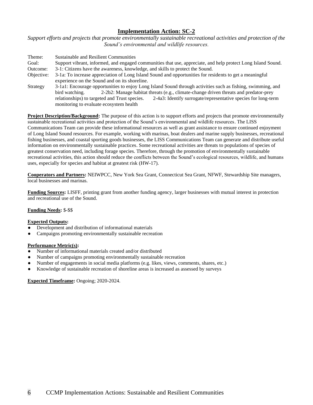*Support efforts and projects that promote environmentally sustainable recreational activities and protection of the Sound's environmental and wildlife resources.*

| Theme:     | <b>Sustainable and Resilient Communities</b>                                                                    |
|------------|-----------------------------------------------------------------------------------------------------------------|
| Goal:      | Support vibrant, informed, and engaged communities that use, appreciate, and help protect Long Island Sound.    |
| Outcome:   | 3-1: Citizens have the awareness, knowledge, and skills to protect the Sound.                                   |
| Objective: | 3-1a: To increase appreciation of Long Island Sound and opportunities for residents to get a meaningful         |
|            | experience on the Sound and on its shoreline.                                                                   |
| Strategy   | 3-1a1: Encourage opportunities to enjoy Long Island Sound through activities such as fishing, swimming, and     |
|            | 2-2b2: Manage habitat threats (e.g., climate-change driven threats and predator-prey<br>bird watching.          |
|            | 2-4a3: Identify surrogate/representative species for long-term<br>relationships) to targeted and Trust species. |
|            | monitoring to evaluate ecosystem health                                                                         |

**Project Description/Background:** The purpose of this action is to support efforts and projects that promote environmentally sustainable recreational activities and protection of the Sound's environmental and wildlife resources. The LISS Communications Team can provide these informational resources as well as grant assistance to ensure continued enjoyment of Long Island Sound resources. For example, working with marinas, boat dealers and marine supply businesses, recreational fishing businesses, and coastal sporting goods businesses, the LISS Communications Team can generate and distribute useful information on environmentally sustainable practices. Some recreational activities are threats to populations of species of greatest conservation need, including forage species. Therefore, through the promotion of environmentally sustainable recreational activities, this action should reduce the conflicts between the Sound's ecological resources, wildlife, and humans uses, especially for species and habitat at greatest risk (HW-17).

**Cooperators and Partners:** NEIWPCC, New York Sea Grant, Connecticut Sea Grant, NFWF, Stewardship Site managers, local businesses and marinas.

**Funding Sources:** LISFF, printing grant from another funding agency, larger businesses with mutual interest in protection and recreational use of the Sound.

#### **Funding Needs:** \$-\$\$

#### **Expected Outputs:**

- Development and distribution of informational materials
- Campaigns promoting environmentally sustainable recreation

#### **Performance Metric(s):**

- Number of informational materials created and/or distributed
- Number of campaigns promoting environmentally sustainable recreation
- Number of engagements in social media platforms (e.g. likes, views, comments, shares, etc.)
- Knowledge of sustainable recreation of shoreline areas is increased as assessed by surveys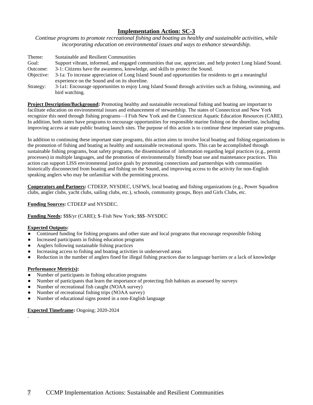*Continue programs to promote recreational fishing and boating as healthy and sustainable activities, while incorporating education on environmental issues and ways to enhance stewardship.*

| Theme:     | Sustainable and Resilient Communities                                                                                                                    |
|------------|----------------------------------------------------------------------------------------------------------------------------------------------------------|
| Goal:      | Support vibrant, informed, and engaged communities that use, appreciate, and help protect Long Island Sound.                                             |
| Outcome:   | 3-1: Citizens have the awareness, knowledge, and skills to protect the Sound.                                                                            |
| Objective: | 3-1a: To increase appreciation of Long Island Sound and opportunities for residents to get a meaningful<br>experience on the Sound and on its shoreline. |
| Strategy:  | 3-1a1: Encourage opportunities to enjoy Long Island Sound through activities such as fishing, swimming, and<br>bird watching.                            |

**Project Description/Background:** Promoting healthy and sustainable recreational fishing and boating are important to facilitate education on environmental issues and enhancement of stewardship. The states of Connecticut and New York recognize this need through fishing programs—I Fish New York and the Connecticut Aquatic Education Resources (CARE). In addition, both states have programs to encourage opportunities for responsible marine fishing on the shoreline, including improving access at state public boating launch sites. The purpose of this action is to continue these important state programs.

In addition to continuing these important state programs, this action aims to involve local boating and fishing organizations in the promotion of fishing and boating as healthy and sustainable recreational sports. This can be accomplished through sustainable fishing programs, boat safety programs, the dissemination of information regarding legal practices (e.g., permit processes) in multiple languages, and the promotion of environmentally friendly boat use and maintenance practices. This action can support LISS environmental justice goals by promoting connections and partnerships with communities historically disconnected from boating and fishing on the Sound, and improving access to the activity for non-English speaking anglers who may be unfamiliar with the permitting process.

**Cooperators and Partners:** CTDEEP, NYSDEC, USFWS, local boating and fishing organizations (e.g., Power Squadron clubs, angler clubs, yacht clubs, sailing clubs, etc.), schools, community groups, Boys and Girls Clubs, etc.

#### **Funding Sources:** CTDEEP and NYSDEC.

**Funding Needs:** \$\$\$/yr (CARE); \$–Fish New York; \$\$\$–NYSDEC

#### **Expected Outputs:**

- Continued funding for fishing programs and other state and local programs that encourage responsible fishing
- Increased participants in fishing education programs
- Anglers following sustainable fishing practices
- Increasing access to fishing and boating activities in underserved areas
- Reduction in the number of anglers fined for illegal fishing practices due to language barriers or a lack of knowledge

## **Performance Metric(s):**

.

- Number of participants in fishing education programs
- Number of participants that learn the importance of protecting fish habitats as assessed by surveys
- Number of recreational fish caught (NOAA survey)
- Number of recreational fishing trips (NOAA survey)
- Number of educational signs posted in a non-English language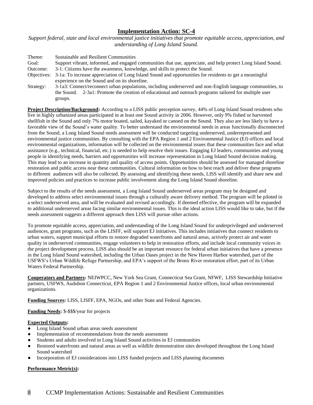*Support federal, state and local environmental justice initiatives that promote equitable access, appreciation, and understanding of Long Island Sound.*

| Theme:    | Sustainable and Resilient Communities                                                                               |
|-----------|---------------------------------------------------------------------------------------------------------------------|
| Goal:     | Support vibrant, informed, and engaged communities that use, appreciate, and help protect Long Island Sound.        |
| Outcome:  | 3-1: Citizens have the awareness, knowledge, and skills to protect the Sound.                                       |
|           | Objectives: 3-1a: To increase appreciation of Long Island Sound and opportunities for residents to get a meaningful |
|           | experience on the Sound and on its shoreline.                                                                       |
| Strategy: | 3-1a3: Connect/reconnect urban populations, including underserved and non-English language communities, to          |
|           | the Sound. 2-3a1: Promote the creation of educational and outreach programs tailored for multiple user              |

**Project Description/Background:** According to a LISS public perception survey, 44% of Long Island Sound residents who live in highly urbanized areas participated in at least one Sound activity in 2006. However, only 9% fished or harvested shellfish in the Sound and only 7% motor boated, sailed, kayaked or canoed on the Sound. They also are less likely to have a favorable view of the Sound's water quality. To better understand the environmental needs in areas functionally disconnected from the Sound, a Long Island Sound needs assessment will be conducted targeting underserved, underrepresented and environmental justice communities. By consulting with the EPA Region 1 and 2 Environmental Justice (EJ) offices and local environmental organizations, information will be collected on the environmental issues that these communities face and what assistance (e.g., technical, financial, etc.) is needed to help resolve their issues. Engaging EJ leaders, communities and young people in identifying needs, barriers and opportunities will increase representation in Long Island Sound decision making. This may lead to an increase in quantity and quality of access points. Opportunities should be assessed for managed shoreline restoration and public access near these communities. Cultural information on how to best reach and deliver these programs to different audiences will also be collected. By assessing and identifying these needs, LISS will identify and share new and improved policies and practices to increase public involvement along the Long Island Sound shoreline.

Subject to the results of the needs assessment, a Long Island Sound underserved areas program may be designed and developed to address select environmental issues through a culturally aware delivery method. The program will be piloted in a select underserved area, and will be evaluated and revised accordingly. If deemed effective, the program will be expanded to additional underserved areas facing similar environmental issues. This is the ideal action LISS would like to take, but if the needs assessment suggests a different approach then LISS will pursue other actions.

To promote equitable access, appreciation, and understanding of the Long Island Sound for underprivileged and underserved audiences, grant programs, such as the LISFF, will support EJ initiatives. This includes initiatives that connect residents to urban waters, support municipal efforts to restore degraded waterfronts and natural areas, actively protect air and water quality in underserved communities, engage volunteers to help in restoration efforts, and include local community voices in the project development process. LISS also should be an important resource for federal urban initiatives that have a presence in the Long Island Sound watershed, including the Urban Oases project in the New Haven Harbor watershed, part of the USFWS's Urban Wildlife Refuge Partnership, and EPA's support of the Bronx River restoration effort, part of its Urban Waters Federal Partnership.

**Cooperators and Partners:** NEIWPCC, New York Sea Grant, Connecticut Sea Grant, NFWF, LISS Stewardship Initiative partners, USFWS, Audubon Connecticut, EPA Region 1 and 2 Environmental Justice offices, local urban environmental organizations.

**Funding Sources:** LISS, LISFF, EPA, NGOs, and other State and Federal Agencies.

**Funding Needs:** \$-\$\$\$/year for projects

groups.

## **Expected Outputs:**

- Long Island Sound urban areas needs assessment
- Implementation of recommendations from the needs assessment
- Students and adults involved in Long Island Sound activities in EJ communities
- Restored waterfronts and natural areas as well as wildlife demonstration sites developed throughout the Long Island Sound watershed
- Incorporation of EJ considerations into LISS funded projects and LISS planning documents

## **Performance Metric(s):**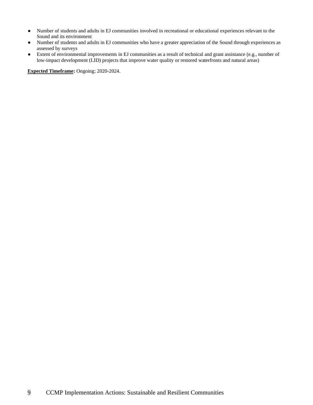- Number of students and adults in EJ communities involved in recreational or educational experiences relevant to the Sound and its environment
- Number of students and adults in EJ communities who have a greater appreciation of the Sound through experiences as assessed by surveys
- Extent of environmental improvements in EJ communities as a result of technical and grant assistance (e.g., number of low-impact development (LID) projects that improve water quality or restored waterfronts and natural areas)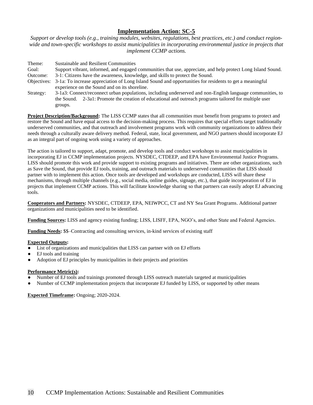*Support or develop tools (e.g., training modules, websites, regulations, best practices, etc.) and conduct region*wide and town-specific workshops to assist municipalities in incorporating environmental justice in projects that *implement CCMP actions.*

Theme: Sustainable and Resilient Communities Goal: Support vibrant, informed, and engaged communities that use, appreciate, and help protect Long Island Sound. Outcome: 3-1: Citizens have the awareness, knowledge, and skills to protect the Sound. Objectives: 3-1a: To increase appreciation of Long Island Sound and opportunities for residents to get a meaningful experience on the Sound and on its shoreline. Strategy: 3-1a3: Connect/reconnect urban populations, including underserved and non-English language communities, to the Sound. 2-3a1: Promote the creation of educational and outreach programs tailored for multiple user groups.

**Project Description/Background:** The LISS CCMP states that all communities must benefit from programs to protect and restore the Sound and have equal access to the decision-making process. This requires that special efforts target traditionally underserved communities, and that outreach and involvement programs work with community organizations to address their needs through a culturally aware delivery method. Federal, state, local government, and NGO partners should incorporate EJ as an integral part of ongoing work using a variety of approaches.

The action is tailored to support, adapt, promote, and develop tools and conduct workshops to assist municipalities in incorporating EJ in CCMP implementation projects. NYSDEC, CTDEEP, and EPA have Environmental Justice Programs. LISS should promote this work and provide support to existing programs and initiatives. There are other organizations, such as Save the Sound, that provide EJ tools, training, and outreach materials to underserved communities that LISS should partner with to implement this action. Once tools are developed and workshops are conducted, LISS will share these mechanisms, through multiple channels (e.g., social media, online guides, signage, etc.), that guide incorporation of EJ in projects that implement CCMP actions. This will facilitate knowledge sharing so that partners can easily adopt EJ advancing tools.

**Cooperators and Partners:** NYSDEC, CTDEEP, EPA, NEIWPCC, CT and NY Sea Grant Programs. Additional partner organizations and municipalities need to be identified.

**Funding Sources:** LISS and agency existing funding; LISS, LISFF, EPA, NGO's, and other State and Federal Agencies.

**Funding Needs:** \$\$–Contracting and consulting services, in-kind services of existing staff

#### **Expected Outputs:**

- List of organizations and municipalities that LISS can partner with on EJ efforts
- EJ tools and training
- Adoption of EJ principles by municipalities in their projects and priorities

### **Performance Metric(s):**

- Number of EJ tools and trainings promoted through LISS outreach materials targeted at municipalities
- Number of CCMP implementation projects that incorporate EJ funded by LISS, or supported by other means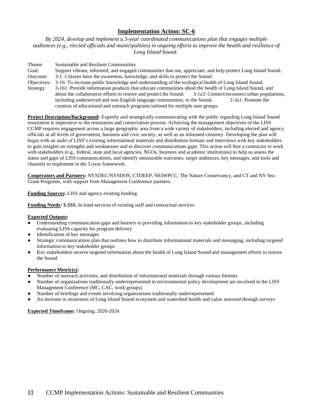*By 2024, develop and implement a 5-year coordinated communications plan that engages multiple audiences (e.g., elected officials and municipalities) in ongoing efforts to improve the health and resilience of Long Island Sound.*

Theme: Sustainable and Resilient Communities Goal: Support vibrant, informed, and engaged communities that use, appreciate, and help protect Long Island Sound. Outcome: 3-1: Citizens have the awareness, knowledge, and skills to protect the Sound. Objectives: 3-1b: To increase public knowledge and understanding of the ecological health of Long Island Sound. Strategy: 3-1b1: Provide information products that educate communities about the health of Long Island Sound, and about the collaborative efforts to restore and protect the Sound. 3-1a3: Connect/reconnect urban populations, including underserved and non-English language communities, to the Sound. 2-3a1: Promote the creation of educational and outreach programs tailored for multiple user groups.

**Project Description/Background:** Expertly and strategically communicating with the public regarding Long Island Sound restoration is imperative to the restoration and conservation process. Achieving the management objectives of the LISS CCMP requires engagement across a large geographic area from a wide variety of stakeholders, including elected and agency officials at all levels of government, business and civic society, as well as an informed citizenry. Developing the plan will begin with an audit of LISS's existing informational materials and distribution formats and interviews with key stakeholders to gain insights on strengths and weaknesses and to discover communications gaps. This action will hire a contractor to work with stakeholders (e.g., federal, state and local agencies, NGOs, business and academic institutions) to help us assess the status and gaps of LISS communications, and identify measurable outcomes, target audiences, key messages, and tools and channels to implement in the 5-year framework.

**Cooperators and Partners:** NYSDEC/NYSDOS, CTDEEP, NEIWPCC, The Nature Conservancy, and CT and NY Sea Grant Programs, with support from Management Conference partners.

**Funding Sources:** LISS and agency existing funding.

**Funding Needs:** \$-\$\$\$; In-kind services of existing staff and contractual services

## **Expected Outputs:**

- Understanding communication gaps and barriers to providing information to key stakeholder groups, including evaluating LISS capacity for program delivery
- Identification of key messages
- Strategic communications plan that outlines how to distribute informational materials and messaging, including targeted information to key stakeholder groups
- Key stakeholders receive targeted information about the health of Long Island Sound and management efforts to restore the Sound

## **Performance Metric(s):**

- Number of outreach activities, and distribution of informational materials through various formats
- Number of organizations traditionally underrepresented in environmental policy development are involved in the LISS Management Conference (MC, CAC, work groups)
- Number of briefings and events involving organizations traditionally underrepresented
- An increase in awareness of Long Island Sound ecosystem and watershed health and value assessed through surveys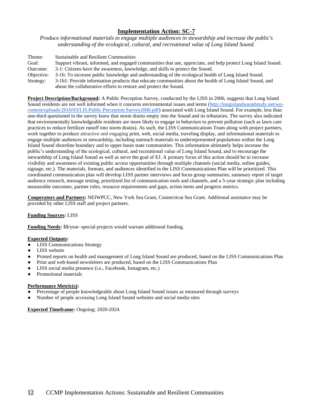*Produce informational materials to engage multiple audiences in stewardship and increase the public's understanding of the ecological, cultural, and recreational value of Long Island Sound.* 

Theme: Sustainable and Resilient Communities Goal: Support vibrant, informed, and engaged communities that use, appreciate, and help protect Long Island Sound. Outcome: 3-1: Citizens have the awareness, knowledge, and skills to protect the Sound. Objective: 3-1b: To increase public knowledge and understanding of the ecological health of Long Island Sound. Strategy: 3-1b1: Provide information products that educate communities about the health of Long Island Sound, and about the collaborative efforts to restore and protect the Sound.

**Project Description/Background:** A Public Perception Survey, conducted by the LISS in 2006, suggests that Long Island Sound residents are not well informed when it concerns environmental issues and terms [\(http://longislandsoundstudy.net/wp](http://longislandsoundstudy.net/wp-content/uploads/2010/03/LIS.Public.Perception.Survey2006.pdf)[content/uploads/2010/03/LIS.Public.Perception.Survey2006.pdf\)](http://longislandsoundstudy.net/wp-content/uploads/2010/03/LIS.Public.Perception.Survey2006.pdf) associated with Long Island Sound. For example, less than one-third questioned in the survey knew that storm drains empty into the Sound and its tributaries. The survey also indicated that environmentally knowledgeable residents are more likely to engage in behaviors to prevent pollution (such as lawn care practices to reduce fertilizer runoff into storm drains). As such, the LISS Communications Team along with project partners, work together to produce attractive and engaging print, web, social media, traveling display, and informational materials to engage multiple audiences in stewardship, including outreach materials to underrepresented populations within the Long Island Sound shoreline boundary and to upper basin state communities. This information ultimately helps increase the public's understanding of the ecological, cultural, and recreational value of Long Island Sound, and to encourage the stewardship of Long Island Sound as well as serve the goal of EJ. A primary focus of this action should be to increase visibility and awareness of existing public access opportunities through multiple channels (social media, online guides, signage, etc.). The materials, formats, and audiences identified in the LISS Communications Plan will be prioritized. This coordinated communication plan will develop LISS partner interviews and focus group summaries, summary report of target audience research, message testing, prioritized list of communication tools and channels, and a 5-year strategic plan including measurable outcomes, partner roles, resource requirements and gaps, action items and progress metrics.

**Cooperators and Partners:** NEIWPCC, New York Sea Grant, Connecticut Sea Grant. Additional assistance may be provided by other LISS staff and project partners.

## **Funding Sources:** LISS

**Funding Needs:** \$\$/year–special projects would warrant additional funding.

#### **Expected Outputs:**

- LISS Communications Strategy
- **LISS** website
- Printed reports on health and management of Long Island Sound are produced, based on the LISS Communications Plan
- Print and web-based newsletters are produced, based on the LISS Communications Plan
- LISS social media presence (i.e., Facebook, Instagram, etc.)
- Promotional materials

#### **Performance Metric(s):**

- Percentage of people knowledgeable about Long Island Sound issues as measured through surveys
- Number of people accessing Long Island Sound websites and social media sites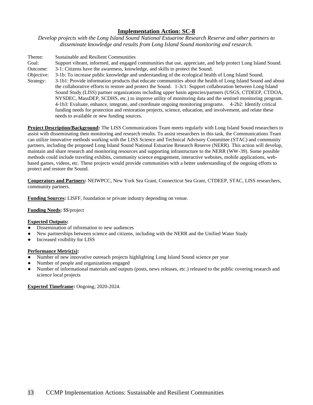*Develop projects with the Long Island Sound National Estuarine Research Reserve and other partners to disseminate knowledge and results from Long Island Sound monitoring and research.*

| Theme:     | <b>Sustainable and Resilient Communities</b>                                                                 |
|------------|--------------------------------------------------------------------------------------------------------------|
| Goal:      | Support vibrant, informed, and engaged communities that use, appreciate, and help protect Long Island Sound. |
| Outcome:   | 3-1: Citizens have the awareness, knowledge, and skills to protect the Sound.                                |
| Objective: | 3-1b: To increase public knowledge and understanding of the ecological health of Long Island Sound.          |
| Strategy:  | 3-1b1: Provide information products that educate communities about the health of Long Island Sound and about |
|            | the collaborative efforts to restore and protect the Sound. 1-3c1: Support collaboration between Long Island |
|            | Sound Study (LISS) partner organizations including upper basin agencies/partners (USGS, CTDEEP, CTDOA,       |
|            | NYSDEC, MassDEP, SCDHS, etc.) to improve utility of monitoring data and the sentinel monitoring program.     |
|            | 4-1b3: Evaluate, enhance, integrate, and coordinate ongoing monitoring programs. 4-2b2: Identify critical    |
|            | funding needs for protection and restoration projects, science, education, and involvement, and relate these |
|            | needs to available or new funding sources.                                                                   |

**Project Description/Background:** The LISS Communications Team meets regularly with Long Island Sound researchers to assist with disseminating their monitoring and research results. To assist researchers in this task, the Communications Team can utilize innovative methods working with the LISS Science and Technical Advisory Committee (STAC) and community partners, including the proposed Long Island Sound National Estuarine Research Reserve (NERR). This action will develop, maintain and share research and monitoring resources and supporting infrastructure to the NERR (WW-39). Some possible methods could include traveling exhibits, community science engagement, interactive websites, mobile applications, webbased games, videos, etc. These projects would provide communities with a better understanding of the ongoing efforts to protect and restore the Sound.

**Cooperators and Partners:** NEIWPCC, New York Sea Grant, Connecticut Sea Grant, CTDEEP, STAC, LISS researchers, community partners.

**Funding Sources:** LISFF, foundation or private industry depending on venue.

#### **Funding Needs:** \$\$/project

#### **Expected Outputs:**

- Dissemination of information to new audiences
- New partnerships between science and citizens, including with the NERR and the Unified Water Study
- Increased visibility for LISS

## **Performance Metric(s):**

- Number of new innovative outreach projects highlighting Long Island Sound science per year
- Number of people and organizations engaged
- Number of informational materials and outputs (posts, news releases, etc.) released to the public covering research and science local projects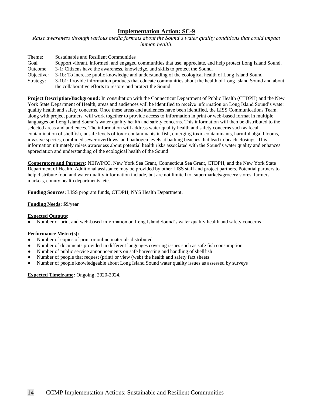*Raise awareness through various media formats about the Sound's water quality conditions that could impact human health.*

| Theme:     | Sustainable and Resilient Communities                                                                        |
|------------|--------------------------------------------------------------------------------------------------------------|
| Goal       | Support vibrant, informed, and engaged communities that use, appreciate, and help protect Long Island Sound. |
| Outcome:   | 3-1: Citizens have the awareness, knowledge, and skills to protect the Sound.                                |
| Objective: | 3-1b: To increase public knowledge and understanding of the ecological health of Long Island Sound.          |
| Strategy:  | 3-1b1: Provide information products that educate communities about the health of Long Island Sound and about |
|            | the collaborative efforts to restore and protect the Sound.                                                  |

**Project Description/Background:** In consultation with the Connecticut Department of Public Health (CTDPH) and the New York State Department of Health, areas and audiences will be identified to receive information on Long Island Sound's water quality health and safety concerns. Once these areas and audiences have been identified, the LISS Communications Team, along with project partners, will work together to provide access to information in print or web-based format in multiple languages on Long Island Sound's water quality health and safety concerns. This information will then be distributed to the selected areas and audiences. The information will address water quality health and safety concerns such as fecal contamination of shellfish, unsafe levels of toxic contaminants in fish, emerging toxic contaminants, harmful algal blooms, invasive species, combined sewer overflows, and pathogen levels at bathing beaches that lead to beach closings. This information ultimately raises awareness about potential health risks associated with the Sound's water quality and enhances appreciation and understanding of the ecological health of the Sound.

**Cooperators and Partners:** NEIWPCC, New York Sea Grant, Connecticut Sea Grant, CTDPH, and the New York State Department of Health. Additional assistance may be provided by other LISS staff and project partners. Potential partners to help distribute food and water quality information include, but are not limited to, supermarkets/grocery stores, farmers markets, county health departments, etc.

**Funding Sources:** LISS program funds, CTDPH, NYS Health Department.

#### **Funding Needs:** \$\$/year

#### **Expected Outputs:**

Number of print and web-based information on Long Island Sound's water quality health and safety concerns

#### **Performance Metric(s):**

- Number of copies of print or online materials distributed
- Number of documents provided in different languages covering issues such as safe fish consumption
- Number of public service announcements on safe harvesting and handling of shellfish
- Number of people that request (print) or view (web) the health and safety fact sheets
- Number of people knowledgeable about Long Island Sound water quality issues as assessed by surveys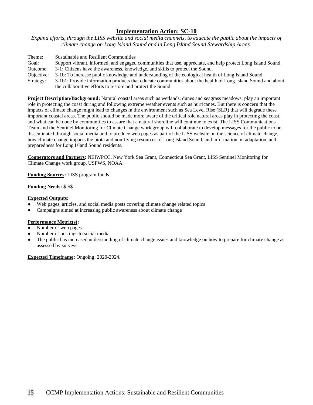*Expand efforts, through the LISS website and social media channels, to educate the public about the impacts of climate change on Long Island Sound and in Long Island Sound Stewardship Areas.* 

Theme: Sustainable and Resilient Communities Goal: Support vibrant, informed, and engaged communities that use, appreciate, and help protect Long Island Sound. Outcome: 3-1: Citizens have the awareness, knowledge, and skills to protect the Sound. Objective: 3-1b: To increase public knowledge and understanding of the ecological health of Long Island Sound. Strategy: 3-1b1: Provide information products that educate communities about the health of Long Island Sound and about the collaborative efforts to restore and protect the Sound.

**Project Description/Background:** Natural coastal areas such as wetlands, dunes and seagrass meadows, play an important role in protecting the coast during and following extreme weather events such as hurricanes. But there is concern that the impacts of climate change might lead to changes in the environment such as Sea Level Rise (SLR) that will degrade these important coastal areas. The public should be made more aware of the critical role natural areas play in protecting the coast, and what can be done by communities to assure that a natural shoreline will continue to exist. The LISS Communications Team and the Sentinel Monitoring for Climate Change work group will collaborate to develop messages for the public to be disseminated through social media and to produce web pages as part of the LISS website on the science of climate change, how climate change impacts the biota and non-living resources of Long Island Sound, and information on adaptation, and preparedness for Long Island Sound residents.

**Cooperators and Partners:** NEIWPCC, New York Sea Grant, Connecticut Sea Grant, LISS Sentinel Monitoring for Climate Change work group, USFWS, NOAA.

**Funding Sources:** LISS program funds.

### **Funding Needs:** \$-\$\$

### **Expected Outputs:**

- Web pages, articles, and social media posts covering climate change related topics
- Campaigns aimed at increasing public awareness about climate change

## **Performance Metric(s):**

- Number of web pages
- Number of postings to social media
- The public has increased understanding of climate change issues and knowledge on how to prepare for climate change as assessed by surveys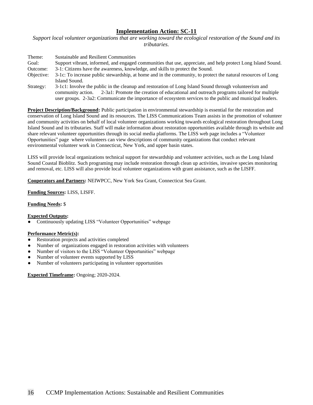*Support local volunteer organizations that are working toward the ecological restoration of the Sound and its tributaries.*

| Theme:     | Sustainable and Resilient Communities                                                                                                                                                                                                                                                                                           |
|------------|---------------------------------------------------------------------------------------------------------------------------------------------------------------------------------------------------------------------------------------------------------------------------------------------------------------------------------|
| Goal:      | Support vibrant, informed, and engaged communities that use, appreciate, and help protect Long Island Sound.                                                                                                                                                                                                                    |
| Outcome:   | 3-1: Citizens have the awareness, knowledge, and skills to protect the Sound.                                                                                                                                                                                                                                                   |
| Objective: | 3-1c: To increase public stewardship, at home and in the community, to protect the natural resources of Long                                                                                                                                                                                                                    |
|            | Island Sound.                                                                                                                                                                                                                                                                                                                   |
| Strategy:  | 3-1c1: Involve the public in the cleanup and restoration of Long Island Sound through volunteerism and<br>community action. 2-3a1: Promote the creation of educational and outreach programs tailored for multiple<br>user groups. 2-3a2: Communicate the importance of ecosystem services to the public and municipal leaders. |

**Project Description/Background:** Public participation in environmental stewardship is essential for the restoration and conservation of Long Island Sound and its resources. The LISS Communications Team assists in the promotion of volunteer and community activities on behalf of local volunteer organizations working towards ecological restoration throughout Long Island Sound and its tributaries. Staff will make information about restoration opportunities available through its website and share relevant volunteer opportunities through its social media platforms. The LISS web page includes a "Volunteer Opportunities" page where volunteers can view descriptions of community organizations that conduct relevant environmental volunteer work in Connecticut, New York, and upper basin states.

LISS will provide local organizations technical support for stewardship and volunteer activities, such as the Long Island Sound Coastal Bioblitz. Such programing may include restoration through clean up activities, invasive species monitoring and removal, etc. LISS will also provide local volunteer organizations with grant assistance, such as the LISFF.

**Cooperators and Partners:** NEIWPCC, New York Sea Grant, Connecticut Sea Grant.

**Funding Sources:** LISS, LISFF.

### **Funding Needs:** \$

#### **Expected Outputs:**

Continuously updating LISS "Volunteer Opportunities" webpage

#### **Performance Metric(s):**

- Restoration projects and activities completed
- Number of organizations engaged in restoration activities with volunteers
- Number of visitors to the LISS "Volunteer Opportunities" webpage
- Number of volunteer events supported by LISS
- Number of volunteers participating in volunteer opportunities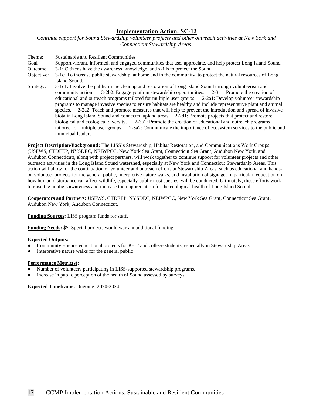*Continue support for Sound Stewardship volunteer projects and other outreach activities at New York and Connecticut Stewardship Areas.*

Theme: Sustainable and Resilient Communities Goal Support vibrant, informed, and engaged communities that use, appreciate, and help protect Long Island Sound. Outcome: 3-1: Citizens have the awareness, knowledge, and skills to protect the Sound. Objective: 3-1c: To increase public stewardship, at home and in the community, to protect the natural resources of Long Island Sound. Strategy: 3-1c1: Involve the public in the cleanup and restoration of Long Island Sound through volunteerism and community action. 3-2b2: Engage youth in stewardship opportunities. 2-3a1: Promote the creation of educational and outreach programs tailored for multiple user groups. 2-2a1: Develop volunteer stewardship programs to manage invasive species to ensure habitats are healthy and include representative plant and animal species. 2-2a2: Teach and promote measures that will help to prevent the introduction and spread of invasive biota in Long Island Sound and connected upland areas. 2-2d1: Promote projects that protect and restore biological and ecological diversity. 2-3a1: Promote the creation of educational and outreach programs tailored for multiple user groups. 2-3a2: Communicate the importance of ecosystem services to the public and municipal leaders.

**Project Description/Background:** The LISS's Stewardship, Habitat Restoration, and Communications Work Groups (USFWS, CTDEEP, NYSDEC, NEIWPCC, New York Sea Grant, Connecticut Sea Grant, Audubon New York, and Audubon Connecticut), along with project partners, will work together to continue support for volunteer projects and other outreach activities in the Long Island Sound watershed, especially at New York and Connecticut Stewardship Areas. This action will allow for the continuation of volunteer and outreach efforts at Stewardship Areas, such as educational and handson volunteer projects for the general public, interpretive nature walks, and installation of signage. In particular, education on how human disturbance can affect wildlife, especially public trust species, will be conducted. Ultimately, these efforts work to raise the public's awareness and increase their appreciation for the ecological health of Long Island Sound.

**Cooperators and Partners:** USFWS, CTDEEP, NYSDEC, NEIWPCC, New York Sea Grant, Connecticut Sea Grant, Audubon New York, Audubon Connecticut.

**Funding Sources:** LISS program funds for staff.

**Funding Needs:** \$\$–Special projects would warrant additional funding.

## **Expected Outputs:**

- Community science educational projects for K-12 and college students, especially in Stewardship Areas
- Interpretive nature walks for the general public

#### **Performance Metric(s):**

- Number of volunteers participating in LISS-supported stewardship programs.
- Increase in public perception of the health of Sound assessed by surveys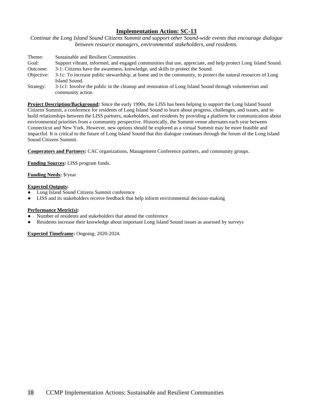*Continue the Long Island Sound Citizens Summit and support other Sound-wide events that encourage dialogue between resource managers, environmental stakeholders, and residents.* 

| Theme:     | Sustainable and Resilient Communities                                                                        |
|------------|--------------------------------------------------------------------------------------------------------------|
| Goal:      | Support vibrant, informed, and engaged communities that use, appreciate, and help protect Long Island Sound. |
| Outcome:   | 3-1: Citizens have the awareness, knowledge, and skills to protect the Sound.                                |
| Objective: | 3-1c: To increase public stewardship, at home and in the community, to protect the natural resources of Long |
|            | Island Sound.                                                                                                |
| Strategy:  | 3-1c1: Involve the public in the cleanup and restoration of Long Island Sound through volunteerism and       |
|            | community action.                                                                                            |

**Project Description/Background:** Since the early 1990s, the LISS has been helping to support the Long Island Sound Citizens Summit, a conference for residents of Long Island Sound to learn about progress, challenges, and issues, and to build relationships between the LISS partners, stakeholders, and residents by providing a platform for communication about environmental priorities from a community perspective. Historically, the Summit venue alternates each year between Connecticut and New York. However, new options should be explored as a virtual Summit may be more feasible and impactful. It is critical to the future of Long Island Sound that this dialogue continues through the forum of the Long Island Sound Citizens Summit.

**Cooperators and Partners:** CAC organizations, Management Conference partners, and community groups.

**Funding Sources:** LISS program funds.

**Funding Needs:** \$/year

#### **Expected Outputs:**

- Long Island Sound Citizens Summit conference
- LISS and its stakeholders receive feedback that help inform environmental decision-making

#### **Performance Metric(s):**

- Number of residents and stakeholders that attend the conference
- Residents increase their knowledge about important Long Island Sound issues as assessed by surveys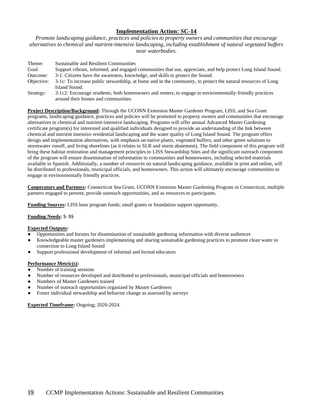*Promote landscaping guidance, practices and policies to property owners and communities that encourage alternatives to chemical and nutrient-intensive landscaping, including establishment of natural vegetated buffers near waterbodies.*

| Theme:     | Sustainable and Resilient Communities                                                                        |
|------------|--------------------------------------------------------------------------------------------------------------|
| Goal:      | Support vibrant, informed, and engaged communities that use, appreciate, and help protect Long Island Sound. |
| Outcome:   | 3-1: Citizens have the awareness, knowledge, and skills to protect the Sound.                                |
| Objective: | 3-1c: To increase public stewardship, at home and in the community, to protect the natural resources of Long |
|            | Island Sound.                                                                                                |
| Strategy:  | 3-1c2: Encourage residents, both homeowners and renters, to engage in environmentally-friendly practices     |
|            | around their homes and communities.                                                                          |

**Project Description/Background:** Through the UCONN Extension Master Gardener Program, LISS, and Sea Grant programs, landscaping guidance, practices and policies will be promoted to property owners and communities that encourage alternatives to chemical and nutrient-intensive landscaping. Programs will offer annual Advanced Master Gardening certificate program(s) for interested and qualified individuals designed to provide an understanding of the link between chemical and nutrient intensive residential landscaping and the water quality of Long Island Sound. The program offers design and implementation alternatives, with emphasis on native plants, vegetated buffers, and other green solutions to stormwater runoff, and living shorelines (as it relates to SLR and storm abatement). The field component of this program will bring these habitat restoration and management principles to LISS Stewardship Sites and the significant outreach component of the program will ensure dissemination of information to communities and homeowners, including selected materials available in Spanish. Additionally, a number of resources on natural landscaping guidance, available in print and online, will be distributed to professionals, municipal officials, and homeowners. This action will ultimately encourage communities to engage in environmentally friendly practices.

**Cooperators and Partners:** Connecticut Sea Grant, UCONN Extension Master Gardening Program in Connecticut, multiple partners engaged to present, provide outreach opportunities, and as resources to participants.

**Funding Sources:** LISS base program funds; small grants or foundation support opportunity.

## **Funding Needs:** \$–\$\$

#### **Expected Outputs:**

- Opportunities and forums for dissemination of sustainable gardening information with diverse audiences
- Knowledgeable master gardeners implementing and sharing sustainable gardening practices to promote clean water in connection to Long Island Sound
- Support professional development of informal and formal educators

### **Performance Metric(s):**

- Number of training sessions
- Number of resources developed and distributed to professionals, municipal officials and homeowners
- Numbers of Master Gardeners trained
- Number of outreach opportunities organized by Master Gardeners
- Foster individual stewardship and behavior change as assessed by surveys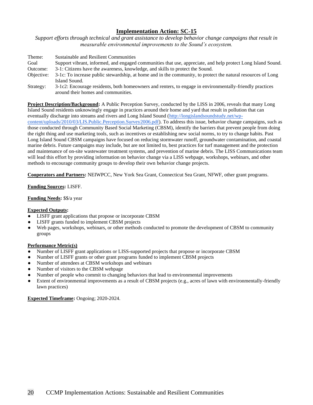*Support efforts through technical and grant assistance to develop behavior change campaigns that result in measurable environmental improvements to the Sound's ecosystem.*

| Theme:     | Sustainable and Resilient Communities                                                                        |
|------------|--------------------------------------------------------------------------------------------------------------|
| Goal       | Support vibrant, informed, and engaged communities that use, appreciate, and help protect Long Island Sound. |
| Outcome:   | 3-1: Citizens have the awareness, knowledge, and skills to protect the Sound.                                |
| Objective: | 3-1c: To increase public stewardship, at home and in the community, to protect the natural resources of Long |
|            | Island Sound.                                                                                                |
| Strategy:  | 3-1c2: Encourage residents, both homeowners and renters, to engage in environmentally-friendly practices     |
|            | around their homes and communities.                                                                          |

**Project Description/Background:** A Public Perception Survey, conducted by the LISS in 2006, reveals that many Long Island Sound residents unknowingly engage in practices around their home and yard that result in pollution that can eventually discharge into streams and rivers and Long Island Sound [\(http://longislandsoundstudy.net/wp](http://longislandsoundstudy.net/wp-content/uploads/2010/03/LIS.Public.Perception.Survey2006.pdf)[content/uploads/2010/03/LIS.Public.Perception.Survey2006.pdf\)](http://longislandsoundstudy.net/wp-content/uploads/2010/03/LIS.Public.Perception.Survey2006.pdf). To address this issue, behavior change campaigns, such as those conducted through Community Based Social Marketing (CBSM), identify the barriers that prevent people from doing the right thing and use marketing tools, such as incentives or establishing new social norms, to try to change habits. Past Long Island Sound CBSM campaigns have focused on reducing stormwater runoff, groundwater contamination, and coastal marine debris. Future campaigns may include, but are not limited to, best practices for turf management and the protection and maintenance of on-site wastewater treatment systems, and prevention of marine debris. The LISS Communications team will lead this effort by providing information on behavior change via a LISS webpage, workshops, webinars, and other methods to encourage community groups to develop their own behavior change projects.

**Cooperators and Partners:** NEIWPCC, New York Sea Grant, Connecticut Sea Grant, NFWF, other grant programs.

**Funding Sources:** LISFF.

**Funding Needs:** \$\$/a year

#### **Expected Outputs:**

- LISFF grant applications that propose or incorporate CBSM
- LISFF grants funded to implement CBSM projects
- Web pages, workshops, webinars, or other methods conducted to promote the development of CBSM to community groups

### **Performance Metric(s)**

- Number of LISFF grant applications or LISS-supported projects that propose or incorporate CBSM
- Number of LISFF grants or other grant programs funded to implement CBSM projects
- Number of attendees at CBSM workshops and webinars
- Number of visitors to the CBSM webpage
- Number of people who commit to changing behaviors that lead to environmental improvements
- Extent of environmental improvements as a result of CBSM projects (e.g., acres of lawn with environmentally-friendly lawn practices)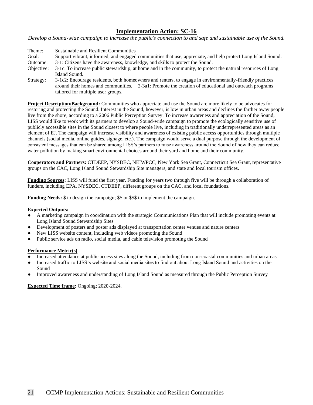*Develop a Sound-wide campaign to increase the public's connection to and safe and sustainable use of the Sound.*

| Theme:     | Sustainable and Resilient Communities                                                                        |
|------------|--------------------------------------------------------------------------------------------------------------|
| Goal:      | Support vibrant, informed, and engaged communities that use, appreciate, and help protect Long Island Sound. |
| Outcome:   | 3-1: Citizens have the awareness, knowledge, and skills to protect the Sound.                                |
| Objective: | 3-1c: To increase public stewardship, at home and in the community, to protect the natural resources of Long |
|            | Island Sound.                                                                                                |
| Strategy:  | 3-1c2: Encourage residents, both homeowners and renters, to engage in environmentally-friendly practices     |
|            | around their homes and communities. 2-3a1: Promote the creation of educational and outreach programs         |
|            | tailored for multiple user groups.                                                                           |

**Project Description/Background:** Communities who appreciate and use the Sound are more likely to be advocates for restoring and protecting the Sound. Interest in the Sound, however, is low in urban areas and declines the farther away people live from the shore, according to a 2006 Public Perception Survey. To increase awareness and appreciation of the Sound, LISS would like to work with its partners to develop a Sound-wide campaign to promote the ecologically sensitive use of publicly accessible sites in the Sound closest to where people live, including in traditionally underrepresented areas as an element of EJ. The campaign will increase visibility and awareness of existing public access opportunities through multiple channels (social media, online guides, signage, etc.). The campaign would serve a dual purpose through the development of consistent messages that can be shared among LISS's partners to raise awareness around the Sound of how they can reduce water pollution by making smart environmental choices around their yard and home and their community.

**Cooperators and Partners:** CTDEEP, NYSDEC, NEIWPCC, New York Sea Grant, Connecticut Sea Grant, representative groups on the CAC, Long Island Sound Stewardship Site managers, and state and local tourism offices.

**Funding Sources:** LISS will fund the first year. Funding for years two through five will be through a collaboration of funders, including EPA, NYSDEC, CTDEEP, different groups on the CAC, and local foundations.

**Funding Needs:** \$ to design the campaign; \$\$ or \$\$\$ to implement the campaign.

#### **Expected Outputs:**

- A marketing campaign in coordination with the strategic Communications Plan that will include promoting events at Long Island Sound Stewardship Sites
- Development of posters and poster ads displayed at transportation center venues and nature centers
- New LISS website content, including web videos promoting the Sound
- Public service ads on radio, social media, and cable television promoting the Sound

#### **Performance Metric(s)**

- Increased attendance at public access sites along the Sound, including from non-coastal communities and urban areas
- Increased traffic to LISS's website and social media sites to find out about Long Island Sound and activities on the Sound
- Improved awareness and understanding of Long Island Sound as measured through the Public Perception Survey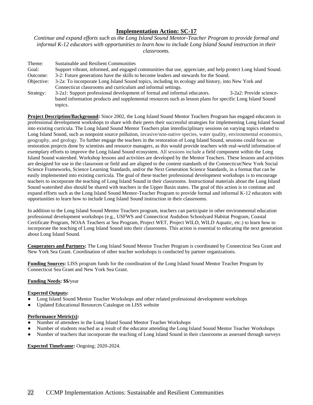*Continue and expand efforts such as the Long Island Sound Mentor-Teacher Program to provide formal and informal K-12 educators with opportunities to learn how to include Long Island Sound instruction in their classrooms.* 

| Theme:     | Sustainable and Resilient Communities                                                                                     |
|------------|---------------------------------------------------------------------------------------------------------------------------|
| Goal:      | Support vibrant, informed, and engaged communities that use, appreciate, and help protect Long Island Sound.              |
| Outcome:   | 3-2: Future generations have the skills to become leaders and stewards for the Sound.                                     |
| Objective: | 3-2a: To incorporate Long Island Sound topics, including its ecology and history, into New York and                       |
|            | Connecticut classrooms and curriculum and informal settings.                                                              |
| Strategy:  | 3-2a1: Support professional development of formal and informal educators.<br>3-2a2: Provide science-                      |
|            | based information products and supplemental resources such as lesson plans for specific Long Island Sound<br>topics.      |
|            | <b>Project Description/Background:</b> Since 2002, the Long Island Sound Mentor Teachers Program has engaged educators in |

professional development workshops to share with their peers their successful strategies for implementing Long Island Sound into existing curricula. The Long Island Sound Mentor Teachers plan interdisciplinary sessions on varying topics related to Long Island Sound, such as nonpoint source pollution, invasive/non-native species, water quality, environmental economics, geography, and geology. To further engage the teachers in the restoration of Long Island Sound, sessions could focus on restoration projects done by scientists and resource managers, as this would provide teachers with real-world information of exemplary efforts to improve the Long Island Sound ecosystem. All sessions include a field component within the Long Island Sound watershed. Workshop lessons and activities are developed by the Mentor Teachers. These lessons and activities are designed for use in the classroom or field and are aligned to the content standards of the Connecticut/New York Social Science Frameworks, Science Learning Standards, and/or the Next Generation Science Standards, in a format that can be easily implemented into existing curricula. The goal of these teacher professional development workshops is to encourage teachers to incorporate the teaching of Long Island Sound in their classrooms. Instructional materials about the Long Island Sound watershed also should be shared with teachers in the Upper Basin states. The goal of this action is to continue and expand efforts such as the Long Island Sound Mentor-Teacher Program to provide formal and informal K-12 educators with opportunities to learn how to include Long Island Sound instruction in their classrooms.

In addition to the Long Island Sound Mentor Teachers program, teachers can participate in other environmental education professional development workshops (e.g., USFWS and Connecticut Audubon Schoolyard Habitat Program, Coastal Certificate Program, NOAA Teachers at Sea Program, Project WET, Project WILD, WILD Aquatic, etc.) to learn how to incorporate the teaching of Long Island Sound into their classrooms. This action is essential to educating the next generation about Long Island Sound.

**Cooperators and Partners:** The Long Island Sound Mentor Teacher Program is coordinated by Connecticut Sea Grant and New York Sea Grant. Coordination of other teacher workshops is conducted by partner organizations.

**Funding Sources:** LISS program funds for the coordination of the Long Island Sound Mentor Teacher Program by Connecticut Sea Grant and New York Sea Grant.

## **Funding Needs: \$\$/**year

#### **Expected Outputs:**

- Long Island Sound Mentor Teacher Workshops and other related professional development workshops
- Updated Educational Resources Catalogue on LISS website

#### **Performance Metric(s):**

- Number of attendees in the Long Island Sound Mentor Teacher Workshops
- Number of students reached as a result of the educator attending the Long Island Sound Mentor Teacher Workshops
- Number of teachers that incorporate the teaching of Long Island Sound in their classrooms as assessed through surveys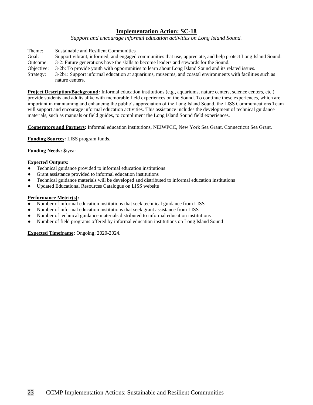*Support and encourage informal education activities on Long Island Sound.* 

- Theme: Sustainable and Resilient Communities
- Goal: Support vibrant, informed, and engaged communities that use, appreciate, and help protect Long Island Sound. Outcome: 3-2: Future generations have the skills to become leaders and stewards for the Sound.
- Objective: 3-2b: To provide youth with opportunities to learn about Long Island Sound and its related issues.
- Strategy: 3-2b1: Support informal education at aquariums, museums, and coastal environments with facilities such as nature centers.

**Project Description/Background:** Informal education institutions (e.g., aquariums, nature centers, science centers, etc.) provide students and adults alike with memorable field experiences on the Sound. To continue these experiences, which are important in maintaining and enhancing the public's appreciation of the Long Island Sound, the LISS Communications Team will support and encourage informal education activities. This assistance includes the development of technical guidance materials, such as manuals or field guides, to compliment the Long Island Sound field experiences.

**Cooperators and Partners:** Informal education institutions, NEIWPCC, New York Sea Grant, Connecticut Sea Grant.

**Funding Sources:** LISS program funds.

**Funding Needs:** \$/year

#### **Expected Outputs:**

- Technical guidance provided to informal education institutions
- Grant assistance provided to informal education institutions
- Technical guidance materials will be developed and distributed to informal education institutions
- Updated Educational Resources Catalogue on LISS website

#### **Performance Metric(s):**

- Number of informal education institutions that seek technical guidance from LISS
- Number of informal education institutions that seek grant assistance from LISS
- Number of technical guidance materials distributed to informal education institutions
- Number of field programs offered by informal education institutions on Long Island Sound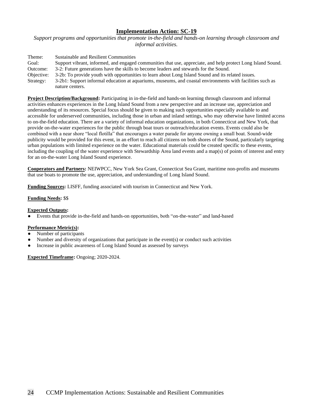*Support programs and opportunities that promote in-the-field and hands-on learning through classroom and informal activities.*

| Theme:     | Sustainable and Resilient Communities                                                                        |
|------------|--------------------------------------------------------------------------------------------------------------|
| Goal:      | Support vibrant, informed, and engaged communities that use, appreciate, and help protect Long Island Sound. |
| Outcome:   | 3-2: Future generations have the skills to become leaders and stewards for the Sound.                        |
| Objective: | 3-2b: To provide youth with opportunities to learn about Long Island Sound and its related issues.           |
| Strategy:  | 3-2b1: Support informal education at aquariums, museums, and coastal environments with facilities such as    |
|            | nature centers.                                                                                              |

**Project Description/Background:** Participating in in-the-field and hands-on learning through classroom and informal activities enhances experiences in the Long Island Sound from a new perspective and an increase use, appreciation and understanding of its resources. Special focus should be given to making such opportunities especially available to and accessible for underserved communities, including those in urban and inland settings, who may otherwise have limited access to on-the-field education. There are a variety of informal education organizations, in both Connecticut and New York, that provide on-the-water experiences for the public through boat tours or outreach/education events. Events could also be combined with a near shore "local flotilla" that encourages a water parade for anyone owning a small boat. Sound-wide publicity would be provided for this event, in an effort to reach all citizens on both shores of the Sound, particularly targeting urban populations with limited experience on the water. Educational materials could be created specific to these events, including the coupling of the water experience with Stewardship Area land events and a map(s) of points of interest and entry for an on-the-water Long Island Sound experience.

**Cooperators and Partners:** NEIWPCC, New York Sea Grant, Connecticut Sea Grant, maritime non-profits and museums that use boats to promote the use, appreciation, and understanding of Long Island Sound.

**Funding Sources:** LISFF, funding associated with tourism in Connecticut and New York.

## **Funding Needs:** \$\$

## **Expected Outputs:**

Events that provide in-the-field and hands-on opportunities, both "on-the-water" and land-based

#### **Performance Metric(s):**

- Number of participants
- Number and diversity of organizations that participate in the event(s) or conduct such activities
- Increase in public awareness of Long Island Sound as assessed by surveys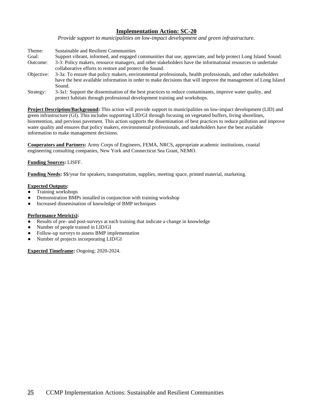*Provide support to municipalities on low-impact development and green infrastructure.*

- Theme: Sustainable and Resilient Communities Goal: Support vibrant, informed, and engaged communities that use, appreciate, and help protect Long Island Sound. Outcome: 3-3: Policy makers, resource managers, and other stakeholders have the informational resources to undertake collaborative efforts to restore and protect the Sound. Objective: 3-3a: To ensure that policy makers, environmental professionals, health professionals, and other stakeholders have the best available information in order to make decisions that will improve the management of Long Island
- Sound. Strategy: 3-3a1: Support the dissemination of the best practices to reduce contaminants, improve water quality, and protect habitats through professional development training and workshops.

**Project Description/Background:** This action will provide support to municipalities on low-impact development (LID) and green infrastructure (GI). This includes supporting LID/GI through focusing on vegetated buffers, living shorelines, bioretention, and pervious pavement. This action supports the dissemination of best practices to reduce pollution and improve water quality and ensures that policy makers, environmental professionals, and stakeholders have the best available information to make management decisions.

**Cooperators and Partners:** Army Corps of Engineers, FEMA, NRCS, appropriate academic institutions, coastal engineering consulting companies, New York and Connecticut Sea Grant, NEMO.

### **Funding Sources:** LISFF.

**Funding Needs:** \$\$/year for speakers, transportation, supplies, meeting space, printed material, marketing.

#### **Expected Outputs:**

- Training workshops
- Demonstration BMPs installed in conjunction with training workshop
- Increased dissemination of knowledge of BMP techniques

## **Performance Metric(s):**

- Results of pre- and post-surveys at each training that indicate a change in knowledge
- Number of people trained in LID/GI
- Follow-up surveys to assess BMP implementation
- Number of projects incorporating LID/GI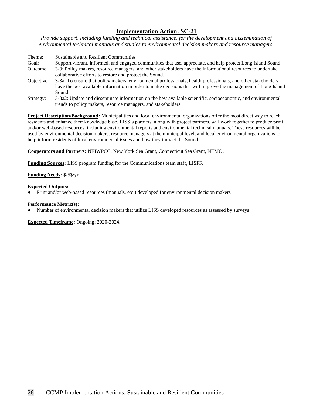*Provide support, including funding and technical assistance, for the development and dissemination of environmental technical manuals and studies to environmental decision makers and resource managers.* 

Theme: Sustainable and Resilient Communities Goal: Support vibrant, informed, and engaged communities that use, appreciate, and help protect Long Island Sound. Outcome: 3-3: Policy makers, resource managers, and other stakeholders have the informational resources to undertake collaborative efforts to restore and protect the Sound. Objective: 3-3a: To ensure that policy makers, environmental professionals, health professionals, and other stakeholders have the best available information in order to make decisions that will improve the management of Long Island Sound.

Strategy: 3-3a2: Update and disseminate information on the best available scientific, socioeconomic, and environmental trends to policy makers, resource managers, and stakeholders.

**Project Description/Background:** Municipalities and local environmental organizations offer the most direct way to reach residents and enhance their knowledge base. LISS's partners, along with project partners, will work together to produce print and/or web-based resources, including environmental reports and environmental technical manuals. These resources will be used by environmental decision makers, resource managers at the municipal level, and local environmental organizations to help inform residents of local environmental issues and how they impact the Sound.

**Cooperators and Partners:** NEIWPCC, New York Sea Grant, Connecticut Sea Grant, NEMO.

**Funding Sources:** LISS program funding for the Communications team staff, LISFF.

### **Funding Needs:** \$-\$\$/yr

#### **Expected Outputs:**

Print and/or web-based resources (manuals, etc.) developed for environmental decision makers

#### **Performance Metric(s):**

Number of environmental decision makers that utilize LISS developed resources as assessed by surveys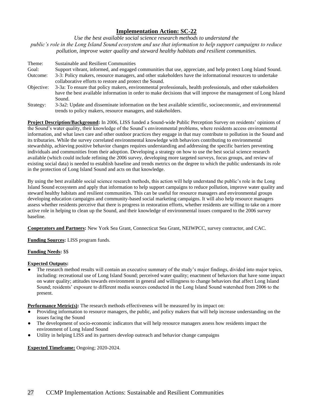*Use the best available social science research methods to understand the public's role in the Long Island Sound ecosystem and use that information to help support campaigns to reduce pollution, improve water quality and steward healthy habitats and resilient communities.*

Theme: Sustainable and Resilient Communities Goal: Support vibrant, informed, and engaged communities that use, appreciate, and help protect Long Island Sound. Outcome: 3-3: Policy makers, resource managers, and other stakeholders have the informational resources to undertake collaborative efforts to restore and protect the Sound. Objective: 3-3a: To ensure that policy makers, environmental professionals, health professionals, and other stakeholders have the best available information in order to make decisions that will improve the management of Long Island Sound. Strategy: 3-3a2: Update and disseminate information on the best available scientific, socioeconomic, and environmental trends to policy makers, resource managers, and stakeholders.

**Project Description/Background:** In 2006, LISS funded a Sound-wide Public Perception Survey on residents' opinions of the Sound's water quality, their knowledge of the Sound's environmental problems, where residents access environmental information, and what lawn care and other outdoor practices they engage in that may contribute to pollution in the Sound and its tributaries. While the survey correlated environmental knowledge with behaviors contributing to environmental stewardship, achieving positive behavior changes requires understanding and addressing the specific barriers preventing individuals and communities from their adoption. Developing a strategy on how to use the best social science research available (which could include refining the 2006 survey, developing more targeted surveys, focus groups, and review of existing social data) is needed to establish baseline and trends metrics on the degree to which the public understands its role in the protection of Long Island Sound and acts on that knowledge.

By using the best available social science research methods, this action will help understand the public's role in the Long Island Sound ecosystem and apply that information to help support campaigns to reduce pollution, improve water quality and steward healthy habitats and resilient communities. This can be useful for resource managers and environmental groups developing education campaigns and community-based social marketing campaigns. It will also help resource managers assess whether residents perceive that there is progress in restoration efforts, whether residents are willing to take on a more active role in helping to clean up the Sound, and their knowledge of environmental issues compared to the 2006 survey baseline.

**Cooperators and Partners:** New York Sea Grant, Connecticut Sea Grant, NEIWPCC, survey contractor, and CAC.

**Funding Sources:** LISS program funds.

## **Funding Needs:** \$\$

#### **Expected Outputs:**

The research method results will contain an executive summary of the study's major findings, divided into major topics, including: recreational use of Long Island Sound; perceived water quality; enactment of behaviors that have some impact on water quality; attitudes towards environment in general and willingness to change behaviors that affect Long Island Sound; residents' exposure to different media sources conducted in the Long Island Sound watershed from 2006 to the present.

**Performance Metric(s):** The research methods effectiveness will be measured by its impact on:

- Providing information to resource managers, the public, and policy makers that will help increase understanding on the issues facing the Sound
- The development of socio-economic indicators that will help resource managers assess how residents impact the environment of Long Island Sound
- Utility in helping LISS and its partners develop outreach and behavior change campaigns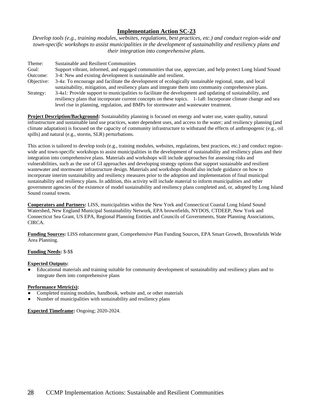*Develop tools (e.g., training modules, websites, regulations, best practices, etc.) and conduct region-wide and town-specific workshops to assist municipalities in the development of sustainability and resiliency plans and their integration into comprehensive plans.*

| Theme:     | Sustainable and Resilient Communities                                                                                                                                                                                                                                                                                 |
|------------|-----------------------------------------------------------------------------------------------------------------------------------------------------------------------------------------------------------------------------------------------------------------------------------------------------------------------|
| Goal:      | Support vibrant, informed, and engaged communities that use, appreciate, and help protect Long Island Sound                                                                                                                                                                                                           |
| Outcome:   | 3-4: New and existing development is sustainable and resilient.                                                                                                                                                                                                                                                       |
| Objective: | 3-4a: To encourage and facilitate the development of ecologically sustainable regional, state, and local<br>sustainability, mitigation, and resiliency plans and integrate them into community comprehensive plans.                                                                                                   |
| Strategy:  | 3-4a1: Provide support to municipalities to facilitate the development and updating of sustainability, and<br>resiliency plans that incorporate current concepts on these topics. 1-1a8: Incorporate climate change and sea<br>level rise in planning, regulation, and BMPs for stormwater and was tewater treatment. |

**Project Description/Background:** Sustainability planning is focused on energy and water use, water quality, natural infrastructure and sustainable land use practices, water dependent uses, and access to the water; and resiliency planning (and climate adaptation) is focused on the capacity of community infrastructure to withstand the effects of anthropogenic (e.g., oil spills) and natural (e.g., storms, SLR) perturbations.

This action is tailored to develop tools (e.g., training modules, websites, regulations, best practices, etc.) and conduct regionwide and town-specific workshops to assist municipalities in the development of sustainability and resiliency plans and their integration into comprehensive plans. Materials and workshops will include approaches for assessing risks and vulnerabilities, such as the use of GI approaches and developing strategy options that support sustainable and resilient wastewater and stormwater infrastructure design. Materials and workshops should also include guidance on how to incorporate interim sustainability and resiliency measures prior to the adoption and implementation of final municipal sustainability and resiliency plans. In addition, this activity will include material to inform municipalities and other government agencies of the existence of model sustainability and resiliency plans completed and, or, adopted by Long Island Sound coastal towns.

**Cooperators and Partners:** LISS, municipalities within the New York and Connecticut Coastal Long Island Sound Watershed, New England Municipal Sustainability Network, EPA brownfields, NYDOS, CTDEEP, New York and Connecticut Sea Grant, US EPA, Regional Planning Entities and Councils of Governments, State Planning Associations, CIRCA.

**Funding Sources:** LISS enhancement grant, Comprehensive Plan Funding Sources, EPA Smart Growth, Brownfields Wide Area Planning.

#### **Funding Needs:** \$-\$\$

#### **Expected Outputs:**

Educational materials and training suitable for community development of sustainability and resiliency plans and to integrate them into comprehensive plans

## **Performance Metric(s):**

- Completed training modules, handbook, website and, or other materials
- Number of municipalities with sustainability and resiliency plans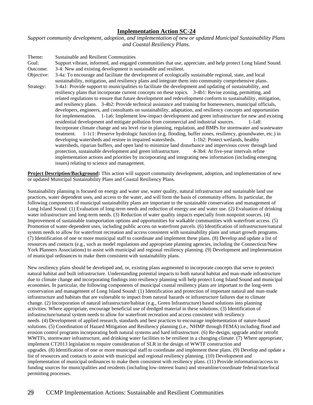*Support community development, adoption, and implementation of new or updated Municipal Sustainability Plans and Coastal Resiliency Plans.* 

Theme: Sustainable and Resilient Communities Goal: Support vibrant, informed, and engaged communities that use, appreciate, and help protect Long Island Sound. Outcome: 3-4: New and existing development is sustainable and resilient. Objective: 3-4a: To encourage and facilitate the development of ecologically sustainable regional, state, and local sustainability, mitigation, and resiliency plans and integrate them into community comprehensive plans. Strategy: 3-4a1: Provide support to municipalities to facilitate the development and updating of sustainability, and resiliency plans that incorporate current concepts on these topics. 3-4b1: Revise zoning, permitting, and related regulations to ensure that future development and redevelopment conform to sustainability, mitigation, and resiliency plans. 3-4b2: Provide technical assistance and training for homeowners, municipal officials, developers, engineers, and consultants on sustainability, adaptation, and resiliency concepts and opportunities for implementation. 1-1a6: Implement low-impact development and green infrastructure for new and existing residential development and mitigate pollution from commercial and industrial sources. 1-1a8: Incorporate climate change and sea level rise in planning, regulation, and BMPs for stormwater and wastewater treatment. 1-1c1: Preserve hydrologic function (e.g. flooding, buffer zones, resiliency, groundwater, etc.) in developing watersheds and restore in impaired watersheds. 1-1b2: Protect wetlands, healthy watersheds, riparian buffers, and open land to minimize land disturbance and impervious cover through land protection, sustainable development and green infrastructure. 4-3b4: At five-year intervals refine implementation actions and priorities by incorporating and integrating new information (including emerging issues) relating to science and management.

**Project Description/Background:** This action will support community development, adoption, and implementation of new or updated Municipal Sustainability Plans and Coastal Resiliency Plans.

Sustainability planning is focused on energy and water use, water quality, natural infrastructure and sustainable land use practices, water dependent uses, and access to the water, and will form the basis of community efforts. In particular, the following components of municipal sustainability plans are important to the sustainable conservation and management of Long Island Sound: (1) Evaluation of long-term needs and reduction of energy use and water use. (2) Evaluation of drinking water infrastructure and long-term needs. (3) Reduction of water quality impacts especially from nonpoint sources. (4) Improvement of sustainable transportation options and opportunities for walkable communities with waterfront access. (5) Promotion of water-dependent uses, including public access on waterfront parcels. (6) Identification of infrastructure/natural system needs to allow for waterfront recreation and access consistent with sustainability plans and smart growth programs. (7) Identification of one or more municipal staff to coordinate and implement these plans. (8) Develop and update a list of resources and contacts (e.g., such as model regulations and appropriate planning agencies, including the Connecticut/New York Planners Associations) to assist with municipal and regional resiliency planning. (9) Development and implementation of municipal ordinances to make them consistent with sustainability plans.

New resiliency plans should be developed and, or, existing plans augmented to incorporate concepts that serve to protect natural habitat and built infrastructure. Understanding potential impacts to both natural habitat and man-made infrastructure due to climate change and incorporating findings into resiliency planning will help protect Long Island Sound and municipal economies. In particular, the following components of municipal coastal resiliency plans are important to the long-term conservation and management of Long Island Sound: (1) Identification and protection of important natural and man-made infrastructure and habitats that are vulnerable to impact from natural hazards or infrastructure failures due to climate change. (2) Incorporation of natural infrastructure/habitat (e.g., Green Infrastructure) based solutions into planning activities. Where appropriate, encourage beneficial use of dredged material in these solutions. (3) Identification of infrastructure/natural system needs to allow for waterfront recreation and access consistent with resiliency needs. (4) Development of applied research, standards and best practices to encourage implementation of nature-based solutions. (5) Coordination of Hazard Mitigation and Resiliency planning (i.e., NHMP through FEMA) including flood and erosion control programs incorporating both natural systems and hard infrastructure. (6) Re-design, upgrade and/or retrofit WWTFs, stormwater infrastructure, and drinking water facilities to be resilient in a changing climate. (7) Where appropriate, implement CT2013 legislation to require consideration of SLR in the design of WWTF construction and upgrades. (8) Identification of one or more municipal staff to coordinate and implement these plans. (9) Develop and update a list of resources and contacts to assist with municipal and regional resiliency planning. (10) Development and implementation of municipal ordinances to make them consistent with resiliency plans. (11) Provide information/access to funding sources for municipalities and residents (including low-interest loans) and streamline/coordinate federal/state/local permitting processes.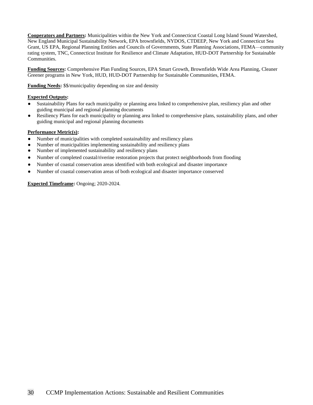**Cooperators and Partners:** Municipalities within the New York and Connecticut Coastal Long Island Sound Watershed, New England Municipal Sustainability Network, EPA brownfields, NYDOS, CTDEEP, New York and Connecticut Sea Grant, US EPA, Regional Planning Entities and Councils of Governments, State Planning Associations, FEMA—community rating system, TNC, Connecticut Institute for Resilience and Climate Adaptation, HUD-DOT Partnership for Sustainable Communities.

**Funding Sources:** Comprehensive Plan Funding Sources, EPA Smart Growth, Brownfields Wide Area Planning, Cleaner Greener programs in New York, HUD, HUD-DOT Partnership for Sustainable Communities, FEMA.

**Funding Needs:** \$\$/municipality depending on size and density

## **Expected Outputs:**

- Sustainability Plans for each municipality or planning area linked to comprehensive plan, resiliency plan and other guiding municipal and regional planning documents
- Resiliency Plans for each municipality or planning area linked to comprehensive plans, sustainability plans, and other guiding municipal and regional planning documents

## **Performance Metric(s):**

- Number of municipalities with completed sustainability and resiliency plans
- Number of municipalities implementing sustainability and resiliency plans
- Number of implemented sustainability and resiliency plans
- Number of completed coastal/riverine restoration projects that protect neighborhoods from flooding
- Number of coastal conservation areas identified with both ecological and disaster importance
- Number of coastal conservation areas of both ecological and disaster importance conserved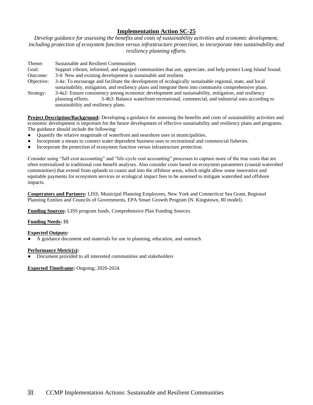*Develop guidance for assessing the benefits and costs of sustainability activities and economic development, including protection of ecosystem function versus infrastructure protection, to incorporate into sustainability and resiliency planning efforts.*

| Theme:                      | <b>Sustainable and Resilient Communities</b>                                                                 |
|-----------------------------|--------------------------------------------------------------------------------------------------------------|
| Goal:                       | Support vibrant, informed, and engaged communities that use, appreciate, and help protect Long Island Sound. |
| Outcome:                    | 3-4: New and existing development is sustainable and resilient.                                              |
| Objective:                  | 3-4a: To encourage and facilitate the development of ecologically sustainable regional, state, and local     |
|                             | sustainability, mitigation, and resiliency plans and integrate them into community comprehensive plans.      |
| $\mathcal{C}_{\text{turb}}$ | 2.400; Enguns consistency emens esementic development and quoteinebility mitiaetien, and negliancy           |

Strategy: 3-4a2: Ensure consistency among economic development and sustainability, mitigation, and resiliency planning efforts. 3-4b3: Balance waterfront recreational, commercial, and industrial uses according to sustainability and resiliency plans.

**Project Description/Background:** Developing a guidance for assessing the benefits and costs of sustainability activities and economic development is important for the future development of effective sustainability and resiliency plans and programs. The guidance should include the following:

- Quantify the relative magnitude of waterfront and nearshore uses in municipalities.
- Incorporate a means to connect water dependent business uses to recreational and commercial fisheries.
- Incorporate the protection of ecosystem function versus infrastructure protection.

Consider using "full-cost accounting" and "life-cycle cost accounting" processes to capture more of the true costs that are often externalized in traditional cost-benefit analyses. Also consider costs based on ecosystem parameters (coastal watershed communities) that extend from uplands to coasts and into the offshore areas, which might allow some innovative and equitable payments for ecosystem services or ecological impact fees to be assessed to mitigate watershed and offshore impacts.

**Cooperators and Partners:** LISS, Municipal Planning Employees, New York and Connecticut Sea Grant, Regional Planning Entities and Councils of Governments, EPA Smart Growth Program (N. Kingstown, RI model).

**Funding Sources:** LISS program funds, Comprehensive Plan Funding Sources.

## **Funding Needs:** \$\$

# **Expected Outputs:**

A guidance document and materials for use in planning, education, and outreach

## **Performance Metric(s):**

Document provided to all interested communities and stakeholders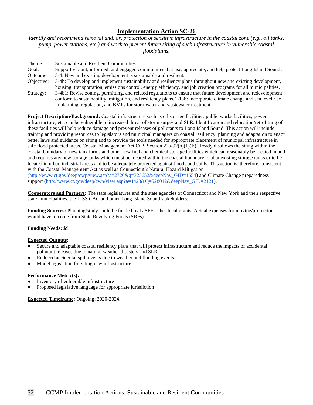*Identify and recommend removal and, or, protection of sensitive infrastructure in the coastal zone (e.g., oil tanks, pump, power stations, etc.) and work to prevent future siting of such infrastructure in vulnerable coastal floodplains.*

| Theme:     | <b>Sustainable and Resilient Communities</b>                                                                                                                                                                                                                                                                     |
|------------|------------------------------------------------------------------------------------------------------------------------------------------------------------------------------------------------------------------------------------------------------------------------------------------------------------------|
| Goal:      | Support vibrant, informed, and engaged communities that use, appreciate, and help protect Long Island Sound.                                                                                                                                                                                                     |
| Outcome:   | 3-4: New and existing development is sustainable and resilient.                                                                                                                                                                                                                                                  |
| Objective: | 3-4b: To develop and implement sustainability and resiliency plans throughout new and existing development,                                                                                                                                                                                                      |
|            | housing, transportation, emissions control, energy efficiency, and job creation programs for all municipalities.                                                                                                                                                                                                 |
| Strategy:  | 3-4b1: Revise zoning, permitting, and related regulations to ensure that future development and redevelopment<br>conform to sustainability, mitigation, and resiliency plans. 1-1a8: Incorporate climate change and sea level rise<br>in planning, regulation, and BMPs for stormwater and wastewater treatment. |

**Project Description/Background:** Coastal infrastructure such as oil storage facilities, public works facilities, power infrastructure, etc. can be vulnerable to increased threat of storm surges and SLR. Identification and relocation/retrofitting of these facilities will help reduce damage and prevent releases of pollutants to Long Island Sound. This action will include training and providing resources to legislators and municipal managers on coastal resiliency, planning and adaptation to enact better laws and guidance on siting and to provide the tools needed for appropriate placement of municipal infrastructure in safe flood protected areas. Coastal Management Act CGS Section 22a-92(b)(1)(E) already disallows the siting within the coastal boundary of new tank farms and other new fuel and chemical storage facilities which can reasonably be located inland and requires any new storage tanks which must be located within the coastal boundary to abut existing storage tanks or to be located in urban industrial areas and to be adequately protected against floods and spills. This action is, therefore, consistent with the Coastal Management Act as well as Connecticut's Natural Hazard Mitigation [\(http://www.ct.gov/deep/cwp/view.asp?a=2720&q=325652&deepNav\\_GID=1654\)](http://www.ct.gov/deep/cwp/view.asp?a=2720&q=325652&deepNav_GID=1654) and Climate Change preparedness

support [\(http://www.ct.gov/deep/cwp/view.asp?a=4423&Q=528012&deepNav\\_GID=2121\)](http://www.ct.gov/deep/cwp/view.asp?a=4423&Q=528012&deepNav_GID=2121).

**Cooperators and Partners:** The state legislatures and the state agencies of Connecticut and New York and their respective state municipalities, the LISS CAC and other Long Island Sound stakeholders.

**Funding Sources:** Planning/study could be funded by LISFF, other local grants. Actual expenses for moving/protection would have to come from State Revolving Funds (SRFs).

## **Funding Needs:** \$\$

#### **Expected Outputs:**

- Secure and adaptable coastal resiliency plans that will protect infrastructure and reduce the impacts of accidental pollutant releases due to natural weather disasters and SLR
- Reduced accidental spill events due to weather and flooding events
- Model legislation for siting new infrastructure

#### **Performance Metric(s):**

- Inventory of vulnerable infrastructure
- Proposed legislative language for appropriate jurisdiction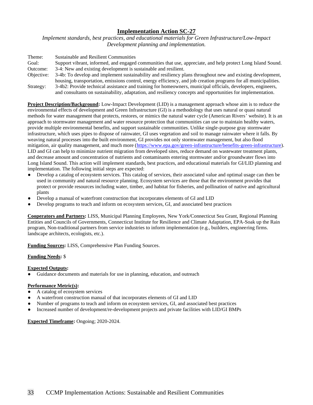*Implement standards, best practices, and educational materials for Green Infrastructure/Low-Impact Development planning and implementation.* 

| Theme:     | Sustainable and Resilient Communities                                                                            |
|------------|------------------------------------------------------------------------------------------------------------------|
| Goal:      | Support vibrant, informed, and engaged communities that use, appreciate, and help protect Long Island Sound.     |
| Outcome:   | 3-4: New and existing development is sustainable and resilient.                                                  |
| Objective: | 3-4b: To develop and implement sustainability and resiliency plans throughout new and existing development,      |
|            | housing, transportation, emissions control, energy efficiency, and job creation programs for all municipalities. |
| Strategy:  | 3-4b2: Provide technical assistance and training for homeowners, municipal officials, developers, engineers,     |
|            | and consultants on sustainability, adaptation, and resiliency concepts and opportunities for implementation.     |

**Project Description/Background:** Low-Impact Development (LID) is a management approach whose aim is to reduce the environmental effects of development and Green Infrastructure (GI) is a methodology that uses natural or quasi natural methods for water management that protects, restores, or mimics the natural water cycle (American Rivers' website). It is an approach to stormwater management and water resource protection that communities can use to maintain healthy waters, provide multiple environmental benefits, and support sustainable communities. Unlike single-purpose gray stormwater infrastructure, which uses pipes to dispose of rainwater, GI uses vegetation and soil to manage rainwater where it falls. By weaving natural processes into the built environment, GI provides not only stormwater management, but also flood mitigation, air quality management, and much more [\(https://www.epa.gov/green-infrastructure/benefits-green-infrastructure\)](https://www.epa.gov/green-infrastructure/benefits-green-infrastructure). LID and GI can help to minimize nutrient migration from developed sites, reduce demand on wastewater treatment plants, and decrease amount and concentration of nutrients and contaminants entering stormwater and/or groundwater flows into Long Island Sound. This action will implement standards, best practices, and educational materials for GI/LID planning and implementation. The following initial steps are expected:

- Develop a catalog of ecosystem services. This catalog of services, their associated value and optimal usage can then be used in community and natural resource planning. Ecosystem services are those that the environment provides that protect or provide resources including water, timber, and habitat for fisheries, and pollination of native and agricultural plants
- Develop a manual of waterfront construction that incorporates elements of GI and LID
- Develop programs to teach and inform on ecosystem services, GI, and associated best practices

**Cooperators and Partners:** LISS, Municipal Planning Employees, New York/Connecticut Sea Grant, Regional Planning Entities and Councils of Governments, Connecticut Institute for Resilience and Climate Adaptation, EPA-Soak up the Rain program, Non-traditional partners from service industries to inform implementation (e.g., builders, engineering firms. landscape architects, ecologists, etc.).

**Funding Sources:** LISS, Comprehensive Plan Funding Sources.

#### **Funding Needs:** \$

## **Expected Outputs:**

Guidance documents and materials for use in planning, education, and outreach

## **Performance Metric(s):**

- A catalog of ecosystem services
- A waterfront construction manual of that incorporates elements of GI and LID
- Number of programs to teach and inform on ecosystem services, GI, and associated best practices
- Increased number of development/re-development projects and private facilities with LID/GI BMPs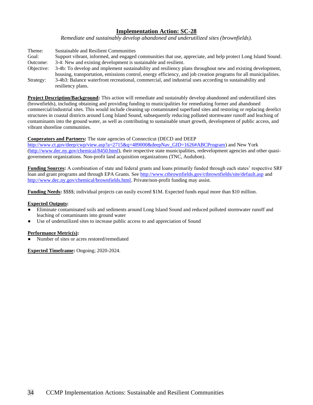*Remediate and sustainably develop abandoned and underutilized sites (brownfields).*

| Theme:     | Sustainable and Resilient Communities                                                                            |
|------------|------------------------------------------------------------------------------------------------------------------|
| Goal:      | Support vibrant, informed, and engaged communities that use, appreciate, and help protect Long Island Sound.     |
| Outcome:   | 3-4: New and existing development is sustainable and resilient.                                                  |
| Objective: | 3-4b: To develop and implement sustainability and resiliency plans throughout new and existing development,      |
|            | housing, transportation, emissions control, energy efficiency, and job creation programs for all municipalities. |
| Strategy:  | 3-4b3: Balance waterfront recreational, commercial, and industrial uses according to sustainability and          |
|            | resiliency plans.                                                                                                |

**Project Description/Background:** This action will remediate and sustainably develop abandoned and underutilized sites (brownfields), including obtaining and providing funding to municipalities for remediating former and abandoned commercial/industrial sites. This would include cleaning up contaminated superfund sites and restoring or replacing derelict structures in coastal districts around Long Island Sound, subsequently reducing polluted stormwater runoff and leaching of contaminants into the ground water, as well as contributing to sustainable smart growth, development of public access, and vibrant shoreline communities.

#### **Cooperators and Partners:** The state agencies of Connecticut (DECD and DEEP

[http://www.ct.gov/deep/cwp/view.asp?a=2715&q=489000&deepNav\\_GID=1626#ABCProgram\)](http://www.ct.gov/deep/cwp/view.asp?a=2715&q=489000&deepNav_GID=1626#ABCProgram) and New York (http://www.dec.ny.gov/chemical/8450.html), their respective state municipalities, redevelopment agencies and other quasigovernment organizations. Non-profit land acquisition organizations (TNC, Audubon).

**Funding Sources:** A combination of state and federal grants and loans primarily funded through each states' respective SRF loan and grant programs and through EPA Grants. See<http://www.ctbrownfields.gov/ctbrownfields/site/default.asp> and [http://www.dec.ny.gov/chemical/brownfields.html.](http://www.dec.ny.gov/chemical/brownfields.html) Private/non-profit funding may assist.

**Funding Needs:** \$\$\$\$; individual projects can easily exceed \$1M. Expected funds equal more than \$10 million.

#### **Expected Outputs:**

- Eliminate contaminated soils and sediments around Long Island Sound and reduced polluted stormwater runoff and leaching of contaminants into ground water
- Use of underutilized sites to increase public access to and appreciation of Sound

## **Performance Metric(s):**

Number of sites or acres restored/remediated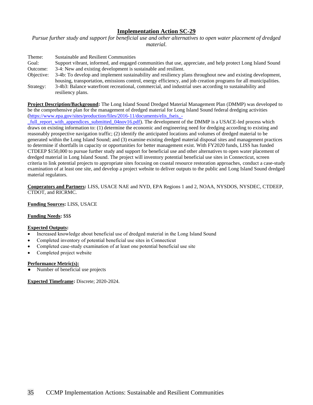*Pursue further study and support for beneficial use and other alternatives to open water placement of dredged material.*

| Theme:     | Sustainable and Resilient Communities                                                                            |
|------------|------------------------------------------------------------------------------------------------------------------|
| Goal:      | Support vibrant, informed, and engaged communities that use, appreciate, and help protect Long Island Sound      |
| Outcome:   | 3-4: New and existing development is sustainable and resilient.                                                  |
| Objective: | 3-4b: To develop and implement sustainability and resiliency plans throughout new and existing development,      |
|            | housing, transportation, emissions control, energy efficiency, and job creation programs for all municipalities. |
| Strategy:  | 3-4b3: Balance waterfront recreational, commercial, and industrial uses according to sustainability and          |
|            | resiliency plans.                                                                                                |

**Project Description/Background:** The Long Island Sound Dredged Material Management Plan (DMMP) was developed to be the comprehensive plan for the management of dredged material for Long Island Sound federal dredging activities [\(https://www.epa.gov/sites/production/files/2016-11/documents/elis\\_fseis\\_-](https://www.epa.gov/sites/production/files/2016-11/documents/elis_fseis_-_full_report_with_appendices_submitted_04nov16.pdf)

full report with appendices submitted  $04nov16.pdf$ . The development of the DMMP is a USACE-led process which draws on existing information to: (1) determine the economic and engineering need for dredging according to existing and reasonably prospective navigation traffic; (2) identify the anticipated locations and volumes of dredged material to be generated within the Long Island Sound; and (3) examine existing dredged material disposal sites and management practices to determine if shortfalls in capacity or opportunities for better management exist. With FY2020 funds, LISS has funded CTDEEP \$150,000 to pursue further study and support for beneficial use and other alternatives to open water placement of dredged material in Long Island Sound. The project will inventory potential beneficial use sites in Connecticut, screen criteria to link potential projects to appropriate sites focusing on coastal resource restoration approaches, conduct a case-study examination of at least one site, and develop a project website to deliver outputs to the public and Long Island Sound dredged material regulators.

**Cooperators and Partners:** LISS, USACE NAE and NYD, EPA Regions 1 and 2, NOAA, NYSDOS, NYSDEC, CTDEEP, CTDOT, and RICRMC.

**Funding Sources:** LISS, USACE

**Funding Needs:** \$\$\$

## **Expected Outputs:**

- Increased knowledge about beneficial use of dredged material in the Long Island Sound
- Completed inventory of potential beneficial use sites in Connecticut
- Completed case-study examination of at least one potential beneficial use site
- Completed project website

#### **Performance Metric(s):**

Number of beneficial use projects

**Expected Timeframe:** Discrete; 2020-2024.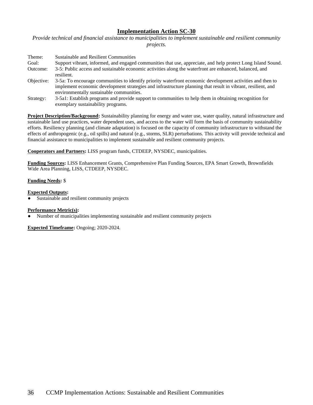*Provide technical and financial assistance to municipalities to implement sustainable and resilient community projects.*

| Theme:     | Sustainable and Resilient Communities                                                                        |
|------------|--------------------------------------------------------------------------------------------------------------|
| Goal:      | Support vibrant, informed, and engaged communities that use, appreciate, and help protect Long Island Sound. |
| Outcome:   | 3-5: Public access and sustainable economic activities along the waterfront are enhanced, balanced, and      |
|            | resilient.                                                                                                   |
| Objective: | 3-5a: To encourage communities to identify priority waterfront economic development activities and then to   |
|            | implement economic development strategies and infrastructure planning that result in vibrant, resilient, and |
|            | environmentally sustainable communities.                                                                     |
| Strategy:  | 3-5a1: Establish programs and provide support to communities to help them in obtaining recognition for       |
|            | exemplary sustainability programs.                                                                           |

**Project Description/Background:** Sustainability planning for energy and water use, water quality, natural infrastructure and sustainable land use practices, water dependent uses, and access to the water will form the basis of community sustainability efforts. Resiliency planning (and climate adaptation) is focused on the capacity of community infrastructure to withstand the effects of anthropogenic (e.g., oil spills) and natural (e.g., storms, SLR) perturbations. This activity will provide technical and financial assistance to municipalities to implement sustainable and resilient community projects.

**Cooperators and Partners:** LISS program funds, CTDEEP, NYSDEC, municipalities.

**Funding Sources:** LISS Enhancement Grants, Comprehensive Plan Funding Sources, EPA Smart Growth, Brownfields Wide Area Planning, LISS, CTDEEP, NYSDEC.

### **Funding Needs:** \$

#### **Expected Outputs:**

Sustainable and resilient community projects

#### **Performance Metric(s):**

Number of municipalities implementing sustainable and resilient community projects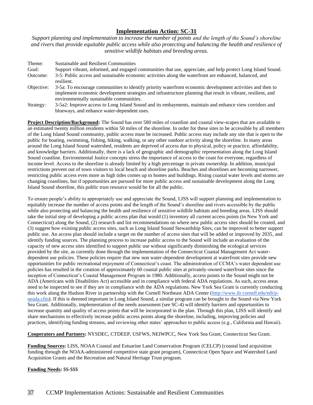*Support planning and implementation to increase the number of points and the length of the Sound's shoreline and rivers that provide equitable public access while also protecting and balancing the health and resilience of sensitive wildlife habitats and breeding areas.*

| Theme:     | Sustainable and Resilient Communities                                                                                                                    |
|------------|----------------------------------------------------------------------------------------------------------------------------------------------------------|
| Goal:      | Support vibrant, informed, and engaged communities that use, appreciate, and help protect Long Island Sound.                                             |
| Outcome:   | 3-5: Public access and sustainable economic activities along the waterfront are enhanced, balanced, and<br>resilient.                                    |
| Objective: | 3-5a: To encourage communities to identify priority waterfront economic development activities and then to                                               |
|            | implement economic development strategies and infrastructure planning that result in vibrant, resilient, and<br>environmentally sustainable communities. |
| Strategy:  | 3-5a2: Improve access to Long Island Sound and its embayments, maintain and enhance view corridors and                                                   |
|            | blueways, and enhance water-dependent uses.                                                                                                              |

**Project Description/Background:** The Sound has over 580 miles of coastline and coastal view-scapes that are available to an estimated twenty million residents within 50 miles of the shoreline. In order for these sites to be accessible by all members of the Long Island Sound community, public access must be increased. Public access may include any site that is open to the public for boating, swimming, fishing, hiking, walking, or any other outdoor activity along the shoreline. In many areas around the Long Island Sound watershed, residents are deprived of access due to physical, policy or practice, affordability, and knowledge barriers. Additionally, there is a lack of geographic and demographic representation along the Long Island Sound coastline. Environmental Justice concepts stress the importance of access to the coast for everyone, regardless of income level. Access to the shoreline is already limited by a high percentage in private ownership. In addition, municipal restrictions prevent out of town visitors to local beach and shoreline parks. Beaches and shorelines are becoming narrower, restricting public access even more as high tides comes up to homes and buildings. Rising coastal water levels and storms are changing coastlines, but if opportunities are pursued for more public access and sustainable development along the Long Island Sound shoreline, this public trust resource would be for all the public.

To ensure people's ability to appropriately use and appreciate the Sound, LISS will support planning and implementation to equitably increase the number of access points and the length of the Sound's shoreline and rivers accessible by the public while also protecting and balancing the health and resilience of sensitive wildlife habitats and breeding areas. LISS should take the initial step of developing a public access plan that would (1) inventory all current access points (in New York and Connecticut) along the Sound, (2) research and list recommendations on where new public access sites should be created, and (3) suggest how existing public access sites, such as Long Island Sound Stewardship Sites, can be improved to better support public use. An access plan should include a target on the number of access sites that will be added or improved by 2035, and identify funding sources. The planning process to increase public access to the Sound will include an evaluation of the capacity of new access sites identified to support public use without significantly diminishing the ecological services provided by the site, as currently done through the implementation of the Connecticut Coastal Management Act waterdependent use policies. These policies require that new non water-dependent development at waterfront sites provide new opportunities for public recreational enjoyment of Connecticut's coast. The administration of CCMA's water dependent use policies has resulted in the creation of approximately 60 coastal public sites at privately-owned waterfront sites since the inception of Connecticut's Coastal Management Program in 1980. Additionally, access points to the Sound might not be ADA (Americans with Disabilities Act) accessible and in compliance with federal ADA regulations. As such, access areas need to be inspected to see if they are in compliance with the ADA regulations. New York Sea Grant is currently conducting this work along the Hudson River in partnership with the Cornell Northeast ADA Center [\(http://www.ilr.cornell.edu/edi/p](http://www.ilr.cornell.edu/edi/p-neada.cfm)[neada.cfm\)](http://www.ilr.cornell.edu/edi/p-neada.cfm). If this is deemed important in Long Island Sound, a similar program can be brought to the Sound via New York Sea Grant. Additionally, implementation of the needs assessment (see SC-4) will identify barriers and opportunities to increase quantity and quality of access points that will be incorporated in the plan. Through this plan, LISS will identify and share mechanisms to effectively increase public access points along the shoreline, including, improving policies and practices, identifying funding streams, and reviewing other states' approaches to public access (e.g., California and Hawaii).

**Cooperators and Partners:** NYSDEC, CTDEEP, USFWS, NEIWPCC, New York Sea Grant, Connecticut Sea Grant.

**Funding Sources:** LISS, NOAA Coastal and Estuarine Land Conservation Program (CELCP) (coastal land acquisition funding through the NOAA-administered competitive state grant program), Connecticut Open Space and Watershed Land Acquisition Grants and the Recreation and Natural Heritage Trust program.

**Funding Needs:** \$\$-\$\$\$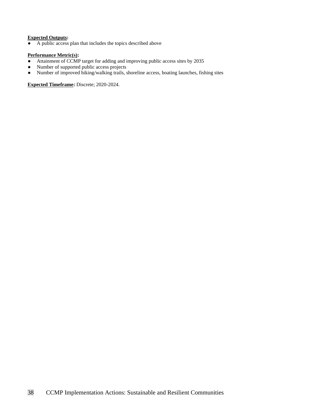# **Expected Outputs:**

● A public access plan that includes the topics described above

## **Performance Metric(s):**

- Attainment of CCMP target for adding and improving public access sites by 2035
- Number of supported public access projects
- Number of improved hiking/walking trails, shoreline access, boating launches, fishing sites

**Expected Timeframe:** Discrete; 2020-2024.